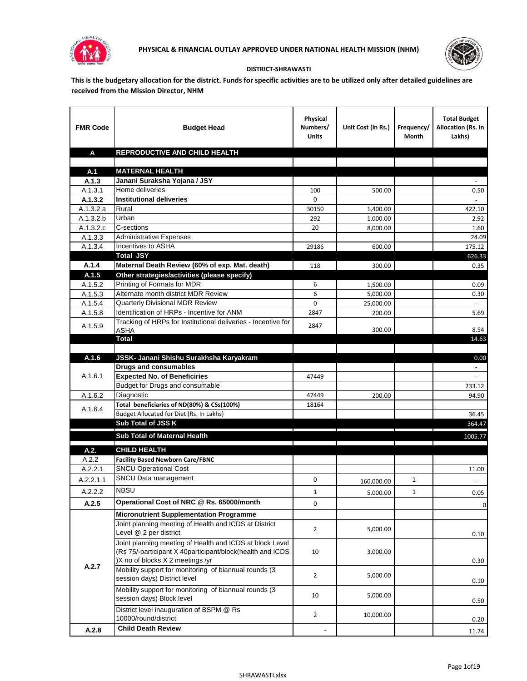



## **DISTRICT-SHRAWASTI**

**This is the budgetary allocation for the district. Funds for specific activities are to be utilized only after detailed guidelines are received from the Mission Director, NHM**

| <b>FMR Code</b>      | <b>Budget Head</b>                                            | Physical<br>Numbers/<br><b>Units</b> | Unit Cost (in Rs.) | Frequency/<br>Month | <b>Total Budget</b><br>Allocation (Rs. In<br>Lakhs) |
|----------------------|---------------------------------------------------------------|--------------------------------------|--------------------|---------------------|-----------------------------------------------------|
| A                    | REPRODUCTIVE AND CHILD HEALTH                                 |                                      |                    |                     |                                                     |
|                      |                                                               |                                      |                    |                     |                                                     |
| A.1                  | <b>MATERNAL HEALTH</b>                                        |                                      |                    |                     |                                                     |
| A.1.3                | Janani Suraksha Yojana / JSY                                  |                                      |                    |                     |                                                     |
| A.1.3.1              | Home deliveries                                               | 100                                  | 500.00             |                     | 0.50                                                |
| A.1.3.2              | <b>Institutional deliveries</b>                               | 0                                    |                    |                     |                                                     |
| A.1.3.2.a            | Rural                                                         | 30150                                | 1,400.00           |                     | 422.10                                              |
| A.1.3.2.b            | Urban                                                         | 292                                  | 1,000.00           |                     | 2.92                                                |
| A.1.3.2.c<br>A.1.3.3 | C-sections<br><b>Administrative Expenses</b>                  | 20                                   | 8,000.00           |                     | 1.60                                                |
| A.1.3.4              | Incentives to ASHA                                            | 29186                                | 600.00             |                     | 24.09<br>175.12                                     |
|                      | <b>Total JSY</b>                                              |                                      |                    |                     | 626.33                                              |
| A.1.4                | Maternal Death Review (60% of exp. Mat. death)                | 118                                  | 300.00             |                     | 0.35                                                |
| A.1.5                | Other strategies/activities (please specify)                  |                                      |                    |                     |                                                     |
| A.1.5.2              | Printing of Formats for MDR                                   | 6                                    | 1.500.00           |                     | 0.09                                                |
| A.1.5.3              | Alternate month district MDR Review                           | 6                                    | 5,000.00           |                     | 0.30                                                |
| A.1.5.4              | <b>Quarterly Divisional MDR Review</b>                        | 0                                    | 25,000.00          |                     |                                                     |
| A.1.5.8              | Identification of HRPs - Incentive for ANM                    | 2847                                 | 200.00             |                     | 5.69                                                |
|                      | Tracking of HRPs for Institutional deliveries - Incentive for |                                      |                    |                     |                                                     |
| A.1.5.9              | <b>ASHA</b>                                                   | 2847                                 | 300.00             |                     | 8.54                                                |
|                      | <b>Total</b>                                                  |                                      |                    |                     | 14.63                                               |
|                      |                                                               |                                      |                    |                     |                                                     |
| A.1.6                | JSSK- Janani Shishu Surakhsha Karyakram                       |                                      |                    |                     | 0.00                                                |
|                      | <b>Drugs and consumables</b>                                  |                                      |                    |                     |                                                     |
| A.1.6.1              | <b>Expected No. of Beneficiries</b>                           | 47449                                |                    |                     | $\omega$                                            |
|                      | Budget for Drugs and consumable<br>Diagnostic                 |                                      |                    |                     | 233.12                                              |
| A.1.6.2              | Total beneficiaries of ND(80%) & CSs(100%)                    | 47449<br>18164                       | 200.00             |                     | 94.90                                               |
| A.1.6.4              | Budget Allocated for Diet (Rs. In Lakhs)                      |                                      |                    |                     | 36.45                                               |
|                      | Sub Total of JSS K                                            |                                      |                    |                     | 364.47                                              |
|                      |                                                               |                                      |                    |                     |                                                     |
|                      | Sub Total of Maternal Health                                  |                                      |                    |                     | 1005.77                                             |
| A.2.                 | <b>CHILD HEALTH</b>                                           |                                      |                    |                     |                                                     |
| A.2.2                | <b>Facility Based Newborn Care/FBNC</b>                       |                                      |                    |                     |                                                     |
| A.2.2.1              | <b>SNCU Operational Cost</b>                                  |                                      |                    |                     | 11.00                                               |
| A.2.2.1.1            | SNCU Data management                                          | 0                                    | 160,000.00         | $\mathbf{1}$        |                                                     |
| A.2.2.2              | <b>NBSU</b>                                                   | 1                                    | 5,000.00           | 1                   | 0.05                                                |
| A.2.5                | Operational Cost of NRC @ Rs. 65000/month                     | 0                                    |                    |                     | $\pmb{0}$                                           |
|                      | <b>Micronutrient Supplementation Programme</b>                |                                      |                    |                     |                                                     |
|                      | Joint planning meeting of Health and ICDS at District         |                                      |                    |                     |                                                     |
|                      | Level @ 2 per district                                        | $\overline{2}$                       | 5,000.00           |                     | 0.10                                                |
|                      | Joint planning meeting of Health and ICDS at block Level      |                                      |                    |                     |                                                     |
|                      | (Rs 75/-participant X 40participant/block(health and ICDS     | 10                                   | 3,000.00           |                     |                                                     |
|                      | )X no of blocks X 2 meetings /yr                              |                                      |                    |                     | 0.30                                                |
| A.2.7                | Mobility support for monitoring of biannual rounds (3         |                                      |                    |                     |                                                     |
|                      | session days) District level                                  | $\overline{2}$                       | 5,000.00           |                     | 0.10                                                |
|                      | Mobility support for monitoring of biannual rounds (3         |                                      |                    |                     |                                                     |
|                      | session days) Block level                                     | 10                                   | 5,000.00           |                     | 0.50                                                |
|                      | District level inauguration of BSPM @ Rs                      |                                      |                    |                     |                                                     |
|                      | 10000/round/district                                          | $\overline{2}$                       | 10,000.00          |                     | 0.20                                                |
| A.2.8                | <b>Child Death Review</b>                                     |                                      |                    |                     | 11.74                                               |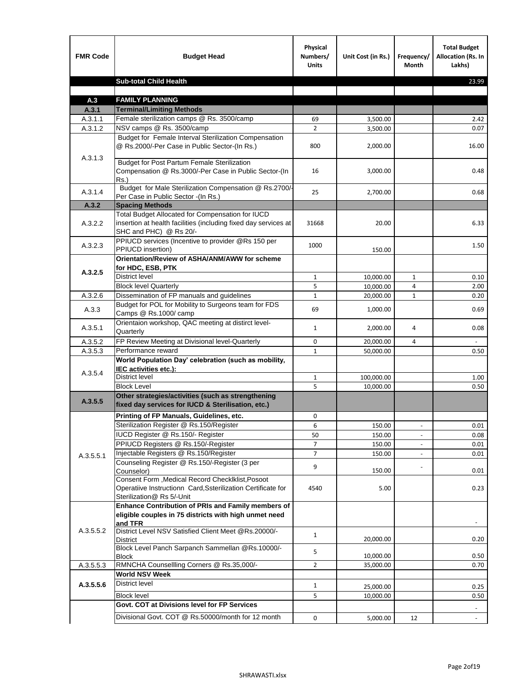| <b>FMR Code</b> | <b>Budget Head</b>                                                                                                                             | Physical<br>Numbers/<br><b>Units</b> | Unit Cost (in Rs.) | Frequency/<br><b>Month</b> | <b>Total Budget</b><br>Allocation (Rs. In<br>Lakhs) |
|-----------------|------------------------------------------------------------------------------------------------------------------------------------------------|--------------------------------------|--------------------|----------------------------|-----------------------------------------------------|
|                 | <b>Sub-total Child Health</b>                                                                                                                  |                                      |                    |                            | 23.99                                               |
|                 |                                                                                                                                                |                                      |                    |                            |                                                     |
| A.3             | <b>FAMILY PLANNING</b>                                                                                                                         |                                      |                    |                            |                                                     |
| A.3.1           | <b>Terminal/Limiting Methods</b>                                                                                                               |                                      |                    |                            |                                                     |
| A.3.1.1         | Female sterilization camps @ Rs. 3500/camp                                                                                                     | 69                                   | 3,500.00           |                            | 2.42                                                |
| A.3.1.2         | NSV camps @ Rs. 3500/camp<br>Budget for Female Interval Sterilization Compensation                                                             | $\overline{2}$                       | 3,500.00           |                            | 0.07                                                |
| A.3.1.3         | @ Rs.2000/-Per Case in Public Sector-(In Rs.)                                                                                                  | 800                                  | 2,000.00           |                            | 16.00                                               |
|                 | <b>Budget for Post Partum Female Sterilization</b><br>Compensation @ Rs.3000/-Per Case in Public Sector-(In<br>$Rs.$ )                         | 16                                   | 3,000.00           |                            | 0.48                                                |
| A.3.1.4         | Budget for Male Sterilization Compensation @ Rs.2700/-<br>Per Case in Public Sector -(In Rs.)                                                  | 25                                   | 2,700.00           |                            | 0.68                                                |
| A.3.2           | <b>Spacing Methods</b>                                                                                                                         |                                      |                    |                            |                                                     |
| A.3.2.2         | Total Budget Allocated for Compensation for IUCD<br>insertion at health facilities (including fixed day services at<br>SHC and PHC) @ Rs 20/-  | 31668                                | 20.00              |                            | 6.33                                                |
| A.3.2.3         | PPIUCD services (Incentive to provider @Rs 150 per<br>PPIUCD insertion)                                                                        | 1000                                 | 150.00             |                            | 1.50                                                |
|                 | Orientation/Review of ASHA/ANM/AWW for scheme<br>for HDC, ESB, PTK                                                                             |                                      |                    |                            |                                                     |
| A.3.2.5         | <b>District level</b>                                                                                                                          | $\mathbf{1}$                         | 10,000.00          | $\mathbf{1}$               | 0.10                                                |
|                 | <b>Block level Quarterly</b>                                                                                                                   | 5                                    | 10,000.00          | 4                          | 2.00                                                |
| A.3.2.6         | Dissemination of FP manuals and guidelines                                                                                                     | $\mathbf{1}$                         | 20,000.00          | $\mathbf{1}$               | 0.20                                                |
| A.3.3           | Budget for POL for Mobility to Surgeons team for FDS<br>Camps @ Rs.1000/ camp                                                                  | 69                                   | 1,000.00           |                            | 0.69                                                |
| A.3.5.1         | Orientaion workshop, QAC meeting at distirct level-<br>Quarterly                                                                               | $\mathbf{1}$                         | 2,000.00           | 4                          | 0.08                                                |
| A.3.5.2         | FP Review Meeting at Divisional level-Quarterly                                                                                                | 0                                    | 20,000.00          | 4                          |                                                     |
| A.3.5.3         | Performance reward                                                                                                                             | $\mathbf{1}$                         | 50,000.00          |                            | 0.50                                                |
| A.3.5.4         | World Population Day' celebration (such as mobility,<br>IEC activities etc.):                                                                  |                                      |                    |                            |                                                     |
|                 | District level                                                                                                                                 | $\mathbf{1}$                         | 100,000.00         |                            | 1.00                                                |
|                 | <b>Block Level</b>                                                                                                                             | 5                                    | 10.000.00          |                            | 0.50                                                |
| A.3.5.5         | Other strategies/activities (such as strengthening<br>fixed day services for IUCD & Sterilisation, etc.)                                       |                                      |                    |                            |                                                     |
|                 | Printing of FP Manuals, Guidelines, etc.                                                                                                       | 0                                    |                    |                            |                                                     |
|                 | Sterilization Register @ Rs.150/Register                                                                                                       | 6                                    | 150.00             | $\centerdot$               | 0.01                                                |
|                 | IUCD Register @ Rs.150/- Register                                                                                                              | 50                                   | 150.00             |                            | 0.08                                                |
|                 | PPIUCD Registers @ Rs.150/-Register                                                                                                            | $\overline{7}$                       | 150.00             |                            | 0.01                                                |
| A.3.5.5.1       | Injectable Registers @ Rs.150/Register                                                                                                         | $\overline{7}$                       | 150.00             |                            | 0.01                                                |
|                 | Counseling Register @ Rs.150/-Register (3 per<br>Counselor)                                                                                    | 9                                    | 150.00             |                            | 0.01                                                |
|                 | Consent Form , Medical Record CheckIklist, Posoot<br>Operatiive Instructionn Card, Ssterilization Certificate for<br>Sterilization@ Rs 5/-Unit | 4540                                 | 5.00               |                            | 0.23                                                |
|                 | Enhance Contribution of PRIs and Family members of<br>eligible couples in 75 districts with high unmet need<br>and TFR                         |                                      |                    |                            |                                                     |
| A.3.5.5.2       | District Level NSV Satisfied Client Meet @Rs.20000/-<br>District                                                                               | $\mathbf{1}$                         | 20,000.00          |                            | 0.20                                                |
|                 | Block Level Panch Sarpanch Sammellan @Rs.10000/-<br><b>Block</b>                                                                               | 5                                    | 10,000.00          |                            | 0.50                                                |
| A.3.5.5.3       | RMNCHA Counsellling Corners @ Rs.35,000/-                                                                                                      | $\overline{2}$                       | 35,000.00          |                            | 0.70                                                |
|                 | <b>World NSV Week</b>                                                                                                                          |                                      |                    |                            |                                                     |
| A.3.5.5.6       | <b>District level</b>                                                                                                                          | $\mathbf{1}$                         | 25,000.00          |                            | 0.25                                                |
|                 | <b>Block level</b>                                                                                                                             | 5                                    | 10,000.00          |                            | 0.50                                                |
|                 | Govt. COT at Divisions level for FP Services                                                                                                   |                                      |                    |                            |                                                     |
|                 | Divisional Govt. COT @ Rs.50000/month for 12 month                                                                                             | 0                                    | 5,000.00           | 12                         | $\omega$                                            |
|                 |                                                                                                                                                |                                      |                    |                            |                                                     |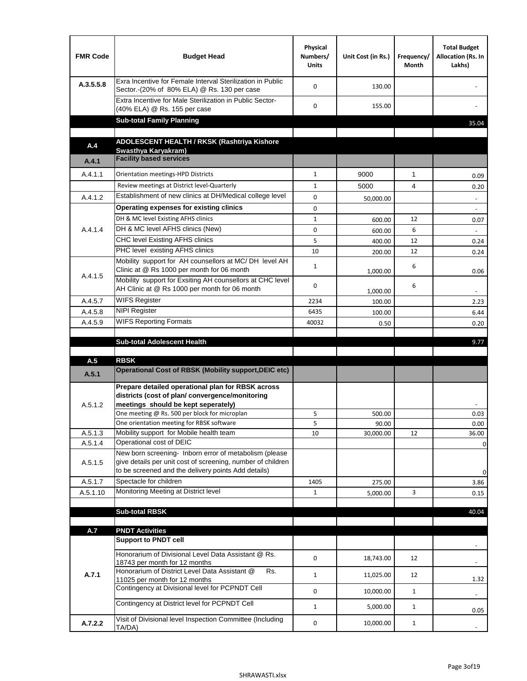| <b>FMR Code</b> | <b>Budget Head</b>                                                                                                                                                                          | Physical<br>Numbers/<br><b>Units</b> | Unit Cost (in Rs.) | Frequency/<br>Month | <b>Total Budget</b><br>Allocation (Rs. In<br>Lakhs) |
|-----------------|---------------------------------------------------------------------------------------------------------------------------------------------------------------------------------------------|--------------------------------------|--------------------|---------------------|-----------------------------------------------------|
| A.3.5.5.8       | Exra Incentive for Female Interval Sterilization in Public<br>Sector.-(20% of 80% ELA) @ Rs. 130 per case                                                                                   | $\Omega$                             | 130.00             |                     |                                                     |
|                 | Extra Incentive for Male Sterilization in Public Sector-<br>(40% ELA) @ Rs. 155 per case                                                                                                    | $\Omega$                             | 155.00             |                     |                                                     |
|                 | <b>Sub-total Family Planning</b>                                                                                                                                                            |                                      |                    |                     | 35.04                                               |
|                 | ADOLESCENT HEALTH / RKSK (Rashtriya Kishore                                                                                                                                                 |                                      |                    |                     |                                                     |
| A.4             | Swasthya Karyakram)                                                                                                                                                                         |                                      |                    |                     |                                                     |
| A.4.1           | <b>Facility based services</b>                                                                                                                                                              |                                      |                    |                     |                                                     |
| A.4.1.1         | Orientation meetings-HPD Districts                                                                                                                                                          | $\mathbf{1}$                         | 9000               | $\mathbf{1}$        | 0.09                                                |
|                 | Review meetings at District level-Quarterly                                                                                                                                                 | $\mathbf{1}$                         | 5000               | 4                   | 0.20                                                |
| A.4.1.2         | Establishment of new clinics at DH/Medical college level                                                                                                                                    | $\Omega$                             | 50,000.00          |                     | $\overline{\phantom{a}}$                            |
|                 | Operating expenses for existing clinics                                                                                                                                                     | 0                                    |                    |                     |                                                     |
|                 | DH & MC level Existing AFHS clinics                                                                                                                                                         | $\mathbf{1}$                         | 600.00             | 12                  | 0.07                                                |
| A.4.1.4         | DH & MC level AFHS clinics (New)                                                                                                                                                            | 0                                    | 600.00             | 6                   |                                                     |
|                 | CHC level Existing AFHS clinics                                                                                                                                                             | 5                                    | 400.00             | 12                  | 0.24                                                |
|                 | PHC level existing AFHS clinics                                                                                                                                                             | 10                                   | 200.00             | 12                  | 0.24                                                |
| A.4.1.5         | Mobility support for AH counsellors at MC/DH level AH<br>Clinic at @ Rs 1000 per month for 06 month                                                                                         | $\mathbf{1}$                         | 1,000.00           | 6                   | 0.06                                                |
|                 | Mobility support for Exsiting AH counsellors at CHC level<br>AH Clinic at @ Rs 1000 per month for 06 month                                                                                  | 0                                    | 1,000.00           | 6                   |                                                     |
| A.4.5.7         | <b>WIFS Register</b>                                                                                                                                                                        | 2234                                 | 100.00             |                     | 2.23                                                |
| A.4.5.8         | <b>NIPI Register</b>                                                                                                                                                                        | 6435                                 | 100.00             |                     | 6.44                                                |
| A.4.5.9         | <b>WIFS Reporting Formats</b>                                                                                                                                                               | 40032                                | 0.50               |                     | 0.20                                                |
|                 | <b>Sub-total Adolescent Health</b>                                                                                                                                                          |                                      |                    |                     | 9.77                                                |
| A.5             | <b>RBSK</b>                                                                                                                                                                                 |                                      |                    |                     |                                                     |
| A.5.1           | <b>Operational Cost of RBSK (Mobility support, DEIC etc)</b>                                                                                                                                |                                      |                    |                     |                                                     |
| A.5.1.2         | Prepare detailed operational plan for RBSK across<br>districts (cost of plan/convergence/monitoring<br>meetings should be kept seperately)<br>One meeting @ Rs. 500 per block for microplan | 5                                    | 500.00             |                     | 0.03                                                |
|                 | One orientation meeting for RBSK software                                                                                                                                                   | 5                                    | 90.00              |                     | 0.00                                                |
| A.5.1.3         | Mobility support for Mobile health team                                                                                                                                                     | 10                                   | 30,000.00          | 12                  | 36.00                                               |
| A.5.1.4         | Operational cost of DEIC                                                                                                                                                                    |                                      |                    |                     | 0                                                   |
| A.5.1.5         | New born screening- Inborn error of metabolism (please<br>give details per unit cost of screening, number of children<br>to be screened and the delivery points Add details)                |                                      |                    |                     | 0                                                   |
| A.5.1.7         | Spectacle for children                                                                                                                                                                      | 1405                                 | 275.00             |                     | 3.86                                                |
| A.5.1.10        | Monitoring Meeting at District level                                                                                                                                                        | $\mathbf{1}$                         | 5,000.00           | 3                   | 0.15                                                |
|                 |                                                                                                                                                                                             |                                      |                    |                     |                                                     |
|                 | <b>Sub-total RBSK</b>                                                                                                                                                                       |                                      |                    |                     | 40.04                                               |
| A.7             | <b>PNDT Activities</b>                                                                                                                                                                      |                                      |                    |                     |                                                     |
|                 | <b>Support to PNDT cell</b>                                                                                                                                                                 |                                      |                    |                     |                                                     |
|                 | Honorarium of Divisional Level Data Assistant @ Rs.<br>18743 per month for 12 months                                                                                                        | 0                                    | 18,743.00          | 12                  |                                                     |
| A.7.1           | Honorarium of District Level Data Assistant @<br>Rs.                                                                                                                                        | $\mathbf{1}$                         | 11,025.00          | 12                  |                                                     |
|                 | 11025 per month for 12 months<br>Contingency at Divisional level for PCPNDT Cell                                                                                                            | 0                                    | 10,000.00          | $\mathbf{1}$        | 1.32<br>$\overline{\phantom{a}}$                    |
|                 | Contingency at District level for PCPNDT Cell                                                                                                                                               | $\mathbf{1}$                         | 5,000.00           | $\mathbf{1}$        | 0.05                                                |
|                 | Visit of Divisional level Inspection Committee (Including                                                                                                                                   |                                      |                    |                     |                                                     |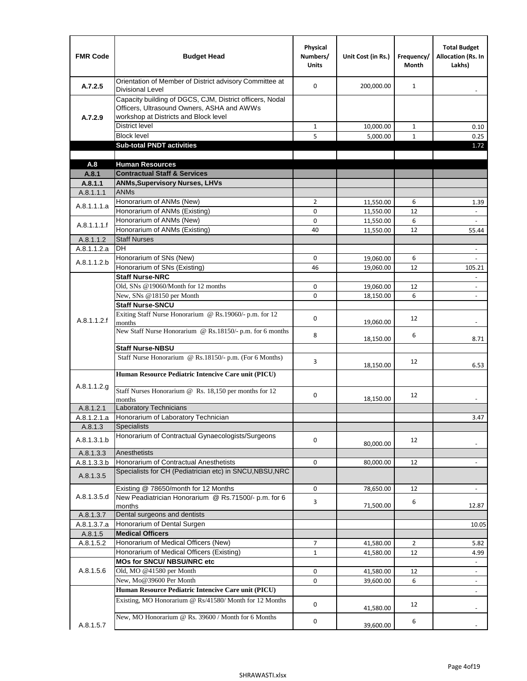| <b>FMR Code</b>      | <b>Budget Head</b>                                                                                                                              | Physical<br>Numbers/<br><b>Units</b> | Unit Cost (in Rs.)     | Frequency/<br><b>Month</b> | <b>Total Budget</b><br><b>Allocation (Rs. In</b><br>Lakhs) |
|----------------------|-------------------------------------------------------------------------------------------------------------------------------------------------|--------------------------------------|------------------------|----------------------------|------------------------------------------------------------|
| A.7.2.5              | Orientation of Member of District advisory Committee at<br><b>Divisional Level</b>                                                              | $\Omega$                             | 200,000.00             | $\mathbf{1}$               | $\overline{\phantom{m}}$                                   |
| A.7.2.9              | Capacity building of DGCS, CJM, District officers, Nodal<br>Officers, Ultrasound Owners, ASHA and AWWs<br>workshop at Districts and Block level |                                      |                        |                            |                                                            |
|                      | <b>District level</b>                                                                                                                           | $\mathbf{1}$                         | 10,000.00              | 1                          | 0.10                                                       |
|                      | <b>Block level</b>                                                                                                                              | 5                                    | 5,000.00               | $\mathbf{1}$               | 0.25                                                       |
|                      | <b>Sub-total PNDT activities</b>                                                                                                                |                                      |                        |                            | 1.72                                                       |
|                      |                                                                                                                                                 |                                      |                        |                            |                                                            |
| A.8                  | <b>Human Resources</b>                                                                                                                          |                                      |                        |                            |                                                            |
| A.8.1                | <b>Contractual Staff &amp; Services</b>                                                                                                         |                                      |                        |                            |                                                            |
| A.8.1.1<br>A.8.1.1.1 | <b>ANMs, Supervisory Nurses, LHVs</b><br><b>ANMs</b>                                                                                            |                                      |                        |                            |                                                            |
|                      | Honorarium of ANMs (New)                                                                                                                        | $\overline{2}$                       |                        | 6                          |                                                            |
| A.8.1.1.1.a          | Honorarium of ANMs (Existing)                                                                                                                   | 0                                    | 11,550.00<br>11,550.00 | 12                         | 1.39<br>$\overline{\phantom{a}}$                           |
|                      | Honorarium of ANMs (New)                                                                                                                        | $\mathbf 0$                          | 11,550.00              | 6                          |                                                            |
| A.8.1.1.1.f          | Honorarium of ANMs (Existing)                                                                                                                   | 40                                   | 11,550.00              | 12                         | 55.44                                                      |
| A.8.1.1.2            | <b>Staff Nurses</b>                                                                                                                             |                                      |                        |                            |                                                            |
| A.8.1.1.2.a          | <b>DH</b>                                                                                                                                       |                                      |                        |                            | $\blacksquare$                                             |
|                      | Honorarium of SNs (New)                                                                                                                         | 0                                    | 19,060.00              | 6                          |                                                            |
| A.8.1.1.2.b          | Honorarium of SNs (Existing)                                                                                                                    | 46                                   | 19,060.00              | 12                         | 105.21                                                     |
|                      | <b>Staff Nurse-NRC</b>                                                                                                                          |                                      |                        |                            |                                                            |
|                      | Old, SNs @19060/Month for 12 months                                                                                                             | 0                                    | 19,060.00              | 12                         | $\overline{\phantom{a}}$                                   |
|                      | New, SNs @18150 per Month                                                                                                                       | 0                                    | 18,150.00              | 6                          | $\overline{\phantom{m}}$                                   |
|                      | <b>Staff Nurse-SNCU</b>                                                                                                                         |                                      |                        |                            |                                                            |
| A.8.1.1.2.f          | Exiting Staff Nurse Honorarium @ Rs.19060/- p.m. for 12<br>months                                                                               | $\Omega$                             | 19,060.00              | 12                         | -                                                          |
|                      | New Staff Nurse Honorarium @ Rs.18150/- p.m. for 6 months                                                                                       | 8                                    | 18,150.00              | 6                          | 8.71                                                       |
|                      | <b>Staff Nurse-NBSU</b>                                                                                                                         |                                      |                        |                            |                                                            |
|                      | Staff Nurse Honorarium @ Rs.18150/- p.m. (For 6 Months)                                                                                         | 3                                    | 18,150.00              | 12                         | 6.53                                                       |
|                      | Human Resource Pediatric Intencive Care unit (PICU)                                                                                             |                                      |                        |                            |                                                            |
| A.8.1.1.2.g          | Staff Nurses Honorarium @ Rs. 18,150 per months for 12<br>months                                                                                | 0                                    | 18,150.00              | 12                         |                                                            |
| A.8.1.2.1            | <b>Laboratory Technicians</b>                                                                                                                   |                                      |                        |                            |                                                            |
| A.8.1.2.1.a          | Honorarium of Laboratory Technician                                                                                                             |                                      |                        |                            | 3.47                                                       |
| A.8.1.3              | <b>Specialists</b>                                                                                                                              |                                      |                        |                            |                                                            |
| A.8.1.3.1.b          | Honorarium of Contractual Gynaecologists/Surgeons                                                                                               | $\mathbf 0$                          | 80,000.00              | 12                         |                                                            |
| A.8.1.3.3            | Anesthetists                                                                                                                                    |                                      |                        |                            |                                                            |
| A.8.1.3.3.b          | Honorarium of Contractual Anesthetists                                                                                                          | 0                                    | 80,000.00              | 12                         |                                                            |
| A.8.1.3.5            | Specialists for CH (Pediatrician etc) in SNCU, NBSU, NRC                                                                                        |                                      |                        |                            |                                                            |
|                      | Existing @ 78650/month for 12 Months                                                                                                            | 0                                    | 78,650.00              | 12                         | $\blacksquare$                                             |
| A.8.1.3.5.d          | New Peadiatrician Honorarium @ Rs.71500/- p.m. for 6<br>months                                                                                  | 3                                    | 71,500.00              | 6                          | 12.87                                                      |
| A.8.1.3.7            | Dental surgeons and dentists                                                                                                                    |                                      |                        |                            |                                                            |
| A.8.1.3.7.a          | Honorarium of Dental Surgen                                                                                                                     |                                      |                        |                            | 10.05                                                      |
| A.8.1.5              | <b>Medical Officers</b>                                                                                                                         |                                      |                        |                            |                                                            |
| A.8.1.5.2            | Honorarium of Medical Officers (New)                                                                                                            | $\overline{7}$                       | 41,580.00              | $\overline{2}$             | 5.82                                                       |
|                      | Honorarium of Medical Officers (Existing)                                                                                                       | $\mathbf{1}$                         | 41,580.00              | 12                         | 4.99                                                       |
| A.8.1.5.6            | MOs for SNCU/ NBSU/NRC etc<br>Old, MO @41580 per Month                                                                                          | 0                                    |                        |                            | $\Box$                                                     |
|                      | New, Mo@39600 Per Month                                                                                                                         | 0                                    | 41,580.00<br>39,600.00 | 12<br>6                    | $\overline{\phantom{a}}$                                   |
|                      | Human Resource Pediatric Intencive Care unit (PICU)                                                                                             |                                      |                        |                            |                                                            |
|                      | Existing, MO Honorarium @ Rs/41580/ Month for 12 Months                                                                                         | $\mathbf 0$                          |                        | 12                         |                                                            |
| A.8.1.5.7            | New, MO Honorarium @ Rs. 39600 / Month for 6 Months                                                                                             | 0                                    | 41,580.00<br>39,600.00 | 6                          |                                                            |
|                      |                                                                                                                                                 |                                      |                        |                            |                                                            |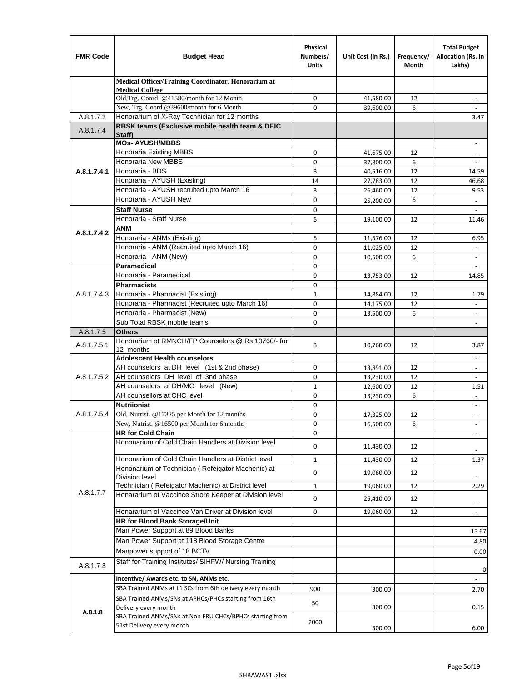| <b>FMR Code</b> | <b>Budget Head</b>                                                   | Physical<br>Numbers/<br><b>Units</b> | Unit Cost (in Rs.) | Frequency/<br>Month | <b>Total Budget</b><br>Allocation (Rs. In<br>Lakhs) |
|-----------------|----------------------------------------------------------------------|--------------------------------------|--------------------|---------------------|-----------------------------------------------------|
|                 | Medical Officer/Training Coordinator, Honorarium at                  |                                      |                    |                     |                                                     |
|                 | <b>Medical College</b><br>Old, Trg. Coord. @41580/month for 12 Month | 0                                    | 41,580.00          | 12                  |                                                     |
|                 | New, Trg. Coord.@39600/month for 6 Month                             | $\Omega$                             | 39,600.00          | 6                   |                                                     |
| A.8.1.7.2       | Honorarium of X-Ray Technician for 12 months                         |                                      |                    |                     | 3.47                                                |
| A.8.1.7.4       | RBSK teams (Exclusive mobile health team & DEIC                      |                                      |                    |                     |                                                     |
|                 | Staff)<br><b>MOs- AYUSH/MBBS</b>                                     |                                      |                    |                     | $\overline{\phantom{a}}$                            |
|                 | Honoraria Existing MBBS                                              | $\mathbf 0$                          | 41,675.00          | 12                  | $\overline{\phantom{a}}$                            |
|                 | Honoraria New MBBS                                                   | 0                                    | 37,800.00          | 6                   | $\overline{\phantom{a}}$                            |
| A.8.1.7.4.1     | Honoraria - BDS                                                      | 3                                    | 40,516.00          | 12                  | 14.59                                               |
|                 | Honoraria - AYUSH (Existing)                                         | 14                                   | 27,783.00          | 12                  | 46.68                                               |
|                 | Honoraria - AYUSH recruited upto March 16                            | 3                                    | 26,460.00          | 12                  | 9.53                                                |
|                 | Honoraria - AYUSH New                                                | $\mathbf 0$                          | 25,200.00          | 6                   |                                                     |
|                 | <b>Staff Nurse</b>                                                   | $\mathbf 0$                          |                    |                     | $\omega$                                            |
|                 | Honoraria - Staff Nurse                                              | 5                                    | 19,100.00          | 12                  | 11.46                                               |
| A.8.1.7.4.2     | ANM                                                                  |                                      |                    |                     |                                                     |
|                 | Honoraria - ANMs (Existing)                                          | 5                                    | 11,576.00          | 12                  | 6.95                                                |
|                 | Honoraria - ANM (Recruited upto March 16)                            | 0                                    | 11,025.00          | 12                  |                                                     |
|                 | Honoraria - ANM (New)                                                | $\mathbf 0$                          | 10,500.00          | 6                   |                                                     |
|                 | <b>Paramedical</b>                                                   | $\mathbf 0$                          |                    |                     | $\blacksquare$                                      |
|                 | Honoraria - Paramedical                                              | 9                                    | 13,753.00          | 12                  | 14.85                                               |
|                 | <b>Pharmacists</b>                                                   | 0                                    |                    |                     |                                                     |
| A.8.1.7.4.3     | Honoraria - Pharmacist (Existing)                                    | $\mathbf{1}$                         | 14,884.00          | 12                  | 1.79                                                |
|                 | Honoraria - Pharmacist (Recruited upto March 16)                     | $\mathbf 0$                          | 14,175.00          | 12                  |                                                     |
|                 | Honoraria - Pharmacist (New)                                         | $\mathbf 0$                          | 13,500.00          | 6                   | $\blacksquare$                                      |
|                 | Sub Total RBSK mobile teams                                          | $\Omega$                             |                    |                     | $\overline{\phantom{a}}$                            |
| A.8.1.7.5       | <b>Others</b><br>Honorarium of RMNCH/FP Counselors @ Rs.10760/- for  |                                      |                    |                     |                                                     |
| A.8.1.7.5.1     | 12 months                                                            | 3                                    | 10,760.00          | 12                  | 3.87                                                |
|                 | <b>Adolescent Health counselors</b>                                  |                                      |                    |                     | $\blacksquare$                                      |
|                 | AH counselors at DH level (1st & 2nd phase)                          | $\mathbf 0$                          | 13,891.00          | 12                  | $\overline{\phantom{a}}$                            |
| A.8.1.7.5.2     | AH counselors DH level of 3nd phase                                  | 0                                    | 13,230.00          | 12                  | $\overline{\phantom{a}}$                            |
|                 | AH counselors at DH/MC level (New)                                   | $\mathbf{1}$                         | 12,600.00          | 12                  | 1.51                                                |
|                 | AH counsellors at CHC level                                          | $\mathbf 0$                          | 13,230.00          | 6                   | $\blacksquare$                                      |
|                 | <b>Nutriionist</b>                                                   | $\mathbf 0$                          |                    |                     | $\overline{\phantom{a}}$                            |
| A.8.1.7.5.4     | Old, Nutrist. @17325 per Month for 12 months                         | $\mathbf 0$                          | 17,325.00          | 12                  | $\overline{\phantom{a}}$                            |
|                 | New, Nutrist. @16500 per Month for 6 months                          | 0                                    | 16,500.00          | 6                   |                                                     |
|                 | <b>HR for Cold Chain</b>                                             | 0                                    |                    |                     |                                                     |
|                 | Hononarium of Cold Chain Handlers at Division level                  | 0                                    | 11,430.00          | 12                  |                                                     |
|                 | Hononarium of Cold Chain Handlers at District level                  | 1                                    | 11,430.00          | 12                  | 1.37                                                |
|                 | Hononarium of Technician (Refeigator Machenic) at                    |                                      |                    |                     |                                                     |
|                 | <b>Division level</b>                                                | 0                                    | 19,060.00          | 12                  |                                                     |
|                 | Technician (Refeigator Machenic) at District level                   | $\mathbf{1}$                         | 19,060.00          | 12                  | 2.29                                                |
| A.8.1.7.7       | Honararium of Vaccince Strore Keeper at Division level               | 0                                    | 25,410.00          | 12                  | $\blacksquare$                                      |
|                 | Honararium of Vaccince Van Driver at Division level                  | 0                                    | 19,060.00          | 12                  | $\blacksquare$                                      |
|                 | HR for Blood Bank Storage/Unit                                       |                                      |                    |                     |                                                     |
|                 | Man Power Support at 89 Blood Banks                                  |                                      |                    |                     | 15.67                                               |
|                 | Man Power Support at 118 Blood Storage Centre                        |                                      |                    |                     | 4.80                                                |
|                 | Manpower support of 18 BCTV                                          |                                      |                    |                     | 0.00                                                |
| A.8.1.7.8       | Staff for Training Institutes/ SIHFW/ Nursing Training               |                                      |                    |                     |                                                     |
|                 | Incentive/ Awards etc. to SN, ANMs etc.                              |                                      |                    |                     | 0                                                   |
|                 | SBA Trained ANMs at L1 SCs from 6th delivery every month             | 900                                  | 300.00             |                     | 2.70                                                |
|                 | SBA Trained ANMs/SNs at APHCs/PHCs starting from 16th                |                                      |                    |                     |                                                     |
|                 | Delivery every month                                                 | 50                                   | 300.00             |                     | 0.15                                                |
| A.8.1.8         | SBA Trained ANMs/SNs at Non FRU CHCs/BPHCs starting from             |                                      |                    |                     |                                                     |
|                 | 51st Delivery every month                                            | 2000                                 | 300.00             |                     | 6.00                                                |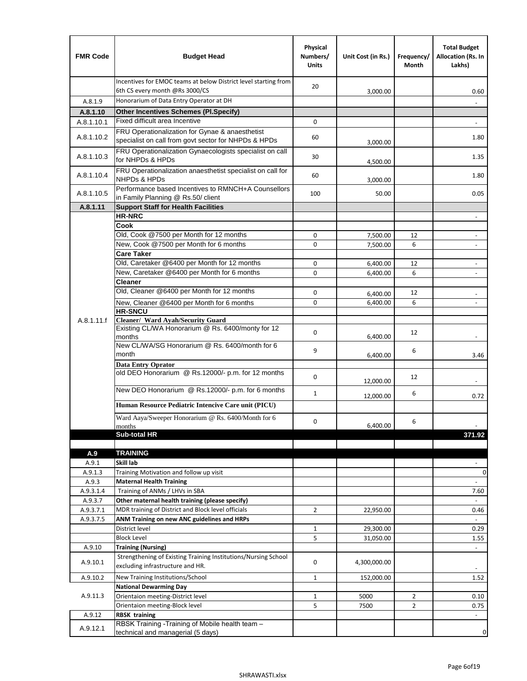| <b>FMR Code</b> | <b>Budget Head</b>                                                                                      | Physical<br>Numbers/<br><b>Units</b> | Unit Cost (in Rs.)   | Frequency/<br>Month | <b>Total Budget</b><br>Allocation (Rs. In<br>Lakhs) |
|-----------------|---------------------------------------------------------------------------------------------------------|--------------------------------------|----------------------|---------------------|-----------------------------------------------------|
|                 | Incentives for EMOC teams at below District level starting from<br>6th CS every month @Rs 3000/CS       | 20                                   | 3,000.00             |                     | 0.60                                                |
| A.8.1.9         | Honorarium of Data Entry Operator at DH                                                                 |                                      |                      |                     |                                                     |
| A.8.1.10        | <b>Other Incentives Schemes (Pl.Specify)</b>                                                            |                                      |                      |                     |                                                     |
| A.8.1.10.1      | Fixed difficult area Incentive                                                                          | 0                                    |                      |                     |                                                     |
| A.8.1.10.2      | FRU Operationalization for Gynae & anaesthetist<br>specialist on call from govt sector for NHPDs & HPDs | 60                                   | 3,000.00             |                     | 1.80                                                |
| A.8.1.10.3      | FRU Operationalization Gynaecologists specialist on call<br>for NHPDs & HPDs                            | 30                                   | 4,500.00             |                     | 1.35                                                |
| A.8.1.10.4      | FRU Operationalization anaesthetist specialist on call for<br><b>NHPDs &amp; HPDs</b>                   | 60                                   | 3,000.00             |                     | 1.80                                                |
| A.8.1.10.5      | Performance based Incentives to RMNCH+A Counsellors<br>in Family Planning @ Rs.50/ client               | 100                                  | 50.00                |                     | 0.05                                                |
| A.8.1.11        | <b>Support Staff for Health Facilities</b>                                                              |                                      |                      |                     |                                                     |
|                 | <b>HR-NRC</b>                                                                                           |                                      |                      |                     | $\overline{\phantom{m}}$                            |
|                 | Cook                                                                                                    |                                      |                      |                     |                                                     |
|                 | Old, Cook @7500 per Month for 12 months                                                                 | 0                                    | 7,500.00             | 12                  | ÷,                                                  |
|                 | New, Cook @7500 per Month for 6 months<br><b>Care Taker</b>                                             | 0                                    | 7,500.00             | 6                   | $\overline{\phantom{a}}$                            |
|                 | Old, Caretaker @6400 per Month for 12 months                                                            | 0                                    | 6,400.00             | 12                  | $\overline{a}$                                      |
|                 | New, Caretaker @6400 per Month for 6 months                                                             | 0                                    | 6,400.00             | 6                   | $\overline{\phantom{a}}$                            |
|                 | <b>Cleaner</b>                                                                                          |                                      |                      |                     |                                                     |
|                 | Old, Cleaner @6400 per Month for 12 months                                                              | 0                                    |                      | 12                  |                                                     |
|                 | New, Cleaner @6400 per Month for 6 months                                                               | 0                                    | 6,400.00<br>6,400.00 | 6                   |                                                     |
|                 | <b>HR-SNCU</b>                                                                                          |                                      |                      |                     |                                                     |
| A.8.1.11.f      | Cleaner/ Ward Ayah/Security Guard                                                                       |                                      |                      |                     |                                                     |
|                 | Existing CL/WA Honorarium @ Rs. 6400/monty for 12<br>months                                             | 0                                    | 6,400.00             | 12                  |                                                     |
|                 | New CL/WA/SG Honorarium @ Rs. 6400/month for 6<br>month                                                 | 9                                    | 6,400.00             | 6                   | 3.46                                                |
|                 | <b>Data Entry Oprator</b><br>old DEO Honorarium @ Rs.12000/- p.m. for 12 months                         | 0                                    |                      | 12                  |                                                     |
|                 | New DEO Honorarium @ Rs.12000/- p.m. for 6 months                                                       |                                      | 12,000.00            |                     |                                                     |
|                 |                                                                                                         | $\mathbf{1}$                         | 12,000.00            | 6                   | 0.72                                                |
|                 | Human Resource Pediatric Intencive Care unit (PICU)                                                     |                                      |                      |                     |                                                     |
|                 | Ward Aaya/Sweeper Honorarium @ Rs. 6400/Month for 6                                                     | 0                                    |                      | 6                   |                                                     |
|                 | months                                                                                                  |                                      | 6,400.00             |                     |                                                     |
|                 | Sub-total HR                                                                                            |                                      |                      |                     | 371.92                                              |
|                 | <b>TRAINING</b>                                                                                         |                                      |                      |                     |                                                     |
| A.9<br>A.9.1    | Skill lab                                                                                               |                                      |                      |                     |                                                     |
| A.9.1.3         | Training Motivation and follow up visit                                                                 |                                      |                      |                     | 0                                                   |
| A.9.3           | <b>Maternal Health Training</b>                                                                         |                                      |                      |                     | $\blacksquare$                                      |
| A.9.3.1.4       | Training of ANMs / LHVs in SBA                                                                          |                                      |                      |                     | 7.60                                                |
| A.9.3.7         | Other maternal health training (please specify)                                                         |                                      |                      |                     |                                                     |
| A.9.3.7.1       | MDR training of District and Block level officials                                                      | $\overline{2}$                       | 22,950.00            |                     | 0.46                                                |
| A.9.3.7.5       | ANM Training on new ANC guidelines and HRPs                                                             |                                      |                      |                     |                                                     |
|                 | District level                                                                                          | $\mathbf 1$                          | 29,300.00            |                     | 0.29                                                |
|                 | <b>Block Level</b>                                                                                      | 5                                    | 31,050.00            |                     | 1.55                                                |
| A.9.10          | <b>Training (Nursing)</b>                                                                               |                                      |                      |                     | $\blacksquare$                                      |
| A.9.10.1        | Strengthening of Existing Training Institutions/Nursing School<br>excluding infrastructure and HR.      | 0                                    | 4,300,000.00         |                     |                                                     |
| A.9.10.2        | New Training Institutions/School                                                                        | $\mathbf{1}$                         | 152,000.00           |                     | 1.52                                                |
|                 | <b>National Dewarming Day</b>                                                                           |                                      |                      |                     |                                                     |
| A.9.11.3        | Orientaion meeting-District level                                                                       | 1                                    | 5000                 | $\overline{2}$      | 0.10                                                |
|                 | Orientaion meeting-Block level                                                                          | 5                                    | 7500                 | $\overline{2}$      | 0.75                                                |
| A.9.12          | <b>RBSK training</b>                                                                                    |                                      |                      |                     |                                                     |
| A.9.12.1        | RBSK Training -Training of Mobile health team -<br>technical and managerial (5 days)                    |                                      |                      |                     | 0                                                   |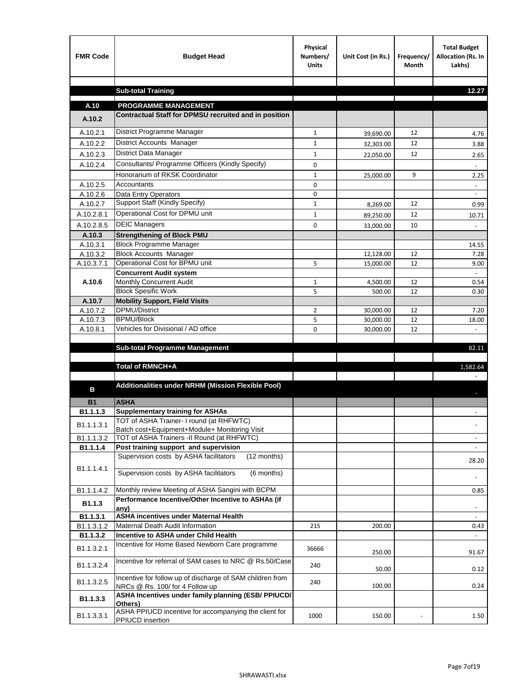| <b>FMR Code</b>      | <b>Budget Head</b>                                                                           | Physical<br>Numbers/<br><b>Units</b> | Unit Cost (in Rs.)     | Frequency/<br><b>Month</b> | <b>Total Budget</b><br>Allocation (Rs. In<br>Lakhs) |
|----------------------|----------------------------------------------------------------------------------------------|--------------------------------------|------------------------|----------------------------|-----------------------------------------------------|
|                      |                                                                                              |                                      |                        |                            |                                                     |
|                      | <b>Sub-total Training</b>                                                                    |                                      |                        |                            | 12.27                                               |
| A.10                 | <b>PROGRAMME MANAGEMENT</b>                                                                  |                                      |                        |                            |                                                     |
| A.10.2               | Contractual Staff for DPMSU recruited and in position                                        |                                      |                        |                            |                                                     |
| A.10.2.1             | District Programme Manager                                                                   | $\mathbf{1}$                         |                        | 12                         |                                                     |
| A.10.2.2             | District Accounts Manager                                                                    | 1                                    | 39,690.00              | 12                         | 4.76                                                |
| A.10.2.3             | District Data Manager                                                                        | $\mathbf{1}$                         | 32,303.00              | 12                         | 3.88                                                |
| A.10.2.4             | Consultants/ Programme Officers (Kindly Specify)                                             | $\mathbf 0$                          | 22,050.00              |                            | 2.65                                                |
|                      | Honorarium of RKSK Coordinator                                                               |                                      |                        | 9                          |                                                     |
| A.10.2.5             | Accountants                                                                                  | $\mathbf{1}$<br>0                    | 25,000.00              |                            | 2.25                                                |
| A.10.2.6             | Data Entry Operators                                                                         | 0                                    |                        |                            | $\overline{\phantom{a}}$                            |
| A.10.2.7             | Support Staff (Kindly Specify)                                                               | $\mathbf{1}$                         | 8,269.00               | 12                         | 0.99                                                |
| A.10.2.8.1           | Operational Cost for DPMU unit                                                               | $\mathbf{1}$                         | 89,250.00              | 12                         | 10.71                                               |
| A.10.2.8.5           | <b>DEIC Managers</b>                                                                         | $\mathbf 0$                          | 33,000.00              | 10                         |                                                     |
| A.10.3               | <b>Strengthening of Block PMU</b>                                                            |                                      |                        |                            |                                                     |
| A.10.3.1             | <b>Block Programme Manager</b>                                                               |                                      |                        |                            | 14.55                                               |
| A.10.3.2             | <b>Block Accounts Manager</b>                                                                |                                      | 12,128.00              | 12                         | 7.28                                                |
| A.10.3.7.1           | Operational Cost for BPMU unit                                                               | 5                                    | 15,000.00              | 12                         | 9.00                                                |
|                      | <b>Concurrent Audit system</b>                                                               |                                      |                        |                            |                                                     |
| A.10.6               | Monthly Concurrent Audit                                                                     | $\mathbf{1}$                         | 4,500.00               | 12                         | 0.54                                                |
|                      | <b>Block Spesific Work</b>                                                                   | 5                                    | 500.00                 | 12                         | 0.30                                                |
| A.10.7               | <b>Mobility Support, Field Visits</b>                                                        |                                      |                        |                            |                                                     |
| A.10.7.2<br>A.10.7.3 | <b>DPMU/District</b><br><b>BPMU/Block</b>                                                    | $\overline{2}$<br>5                  | 30,000.00              | 12<br>12                   | 7.20                                                |
| A.10.8.1             | Vehicles for Divisional / AD office                                                          | 0                                    | 30,000.00<br>30,000.00 | 12                         | 18.00                                               |
|                      |                                                                                              |                                      |                        |                            |                                                     |
|                      | <b>Sub-total Programme Management</b>                                                        |                                      |                        |                            | 82.11                                               |
|                      |                                                                                              |                                      |                        |                            |                                                     |
|                      | Total of RMNCH+A                                                                             |                                      |                        |                            | 1,582.64                                            |
|                      |                                                                                              |                                      |                        |                            |                                                     |
| в                    | Additionalities under NRHM (Mission Flexible Pool)                                           |                                      |                        |                            |                                                     |
| <b>B1</b>            | <b>ASHA</b>                                                                                  |                                      |                        |                            |                                                     |
| B1.1.1.3             | <b>Supplementary training for ASHAs</b>                                                      |                                      |                        |                            |                                                     |
| B1.1.1.3.1           | TOT of ASHA Trainer- I round (at RHFWTC)                                                     |                                      |                        |                            |                                                     |
|                      | Batch cost+Equipment+Module+ Monitoring Visit                                                |                                      |                        |                            |                                                     |
| B1.1.1.3.2           | TOT of ASHA Trainers -II Round (at RHFWTC)                                                   |                                      |                        |                            |                                                     |
| B1.1.1.4             | Post training support and supervision                                                        |                                      |                        |                            | $\sim$                                              |
|                      | Supervision costs by ASHA facilitators<br>(12 months)                                        |                                      |                        |                            | 28.20                                               |
| B1.1.1.4.1           | Supervision costs by ASHA facilitators<br>(6 months)                                         |                                      |                        |                            |                                                     |
|                      |                                                                                              |                                      |                        |                            |                                                     |
| B1.1.1.4.2           | Monthly review Meeting of ASHA Sangini with BCPM                                             |                                      |                        |                            | 0.85                                                |
| B <sub>1.1.3</sub>   | Performance Incentive/Other Incentive to ASHAs (if                                           |                                      |                        |                            |                                                     |
| B1.1.3.1             | any)<br><b>ASHA incentives under Maternal Health</b>                                         |                                      |                        |                            |                                                     |
| B1.1.3.1.2           | Maternal Death Audit Information                                                             | 215                                  | 200.00                 |                            | 0.43                                                |
| B1.1.3.2             | Incentive to ASHA under Child Health                                                         |                                      |                        |                            | ÷.                                                  |
| B1.1.3.2.1           | Incentive for Home Based Newborn Care programme                                              | 36666                                | 250.00                 |                            | 91.67                                               |
| B1.1.3.2.4           | Incentive for referral of SAM cases to NRC @ Rs.50/Case                                      | 240                                  | 50.00                  |                            | 0.12                                                |
| B1.1.3.2.5           | Incentive for follow up of discharge of SAM children from<br>NRCs @ Rs. 100/ for 4 Follow up | 240                                  | 100.00                 |                            | 0.24                                                |
| B1.1.3.3             | ASHA Incentives under family planning (ESB/ PPIUCD/<br>Others)                               |                                      |                        |                            |                                                     |
| B1.1.3.3.1           | ASHA PPIUCD incentive for accompanying the client for<br>PPIUCD insertion                    | 1000                                 | 150.00                 |                            | 1.50                                                |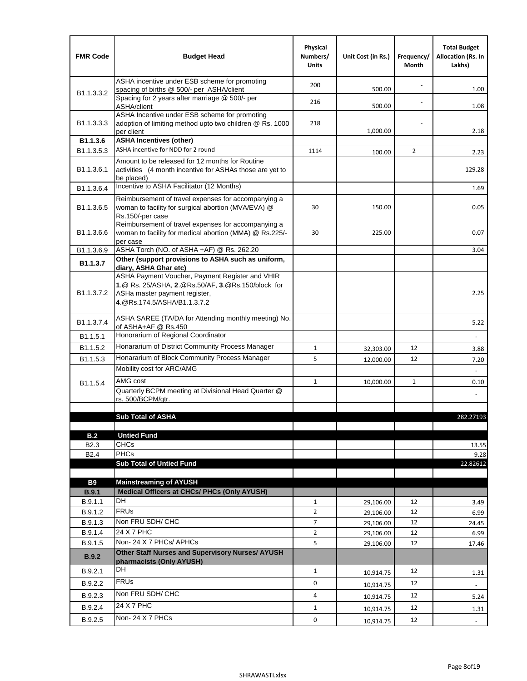| <b>FMR Code</b>            | <b>Budget Head</b>                                                                                                                                                                             | Physical<br>Numbers/<br><b>Units</b> | Unit Cost (in Rs.) | Frequency/<br>Month | <b>Total Budget</b><br><b>Allocation (Rs. In</b><br>Lakhs) |
|----------------------------|------------------------------------------------------------------------------------------------------------------------------------------------------------------------------------------------|--------------------------------------|--------------------|---------------------|------------------------------------------------------------|
|                            | ASHA incentive under ESB scheme for promoting<br>spacing of births @ 500/- per ASHA/client                                                                                                     | 200                                  | 500.00             |                     | 1.00                                                       |
| B <sub>1.1</sub> , 3, 3, 2 | Spacing for 2 years after marriage @ 500/- per<br>ASHA/client                                                                                                                                  | 216                                  | 500.00             |                     | 1.08                                                       |
| B1.1.3.3.3                 | ASHA Incentive under ESB scheme for promoting<br>adoption of limiting method upto two children @ Rs. 1000<br>per client                                                                        | 218                                  | 1,000.00           |                     | 2.18                                                       |
| B1.1.3.6                   | <b>ASHA Incentives (other)</b>                                                                                                                                                                 |                                      |                    |                     |                                                            |
| B <sub>1.1</sub> , 3, 5, 3 | ASHA incentive for NDD for 2 round                                                                                                                                                             | 1114                                 | 100.00             | $\overline{2}$      | 2.23                                                       |
| B <sub>1.1</sub> .3.6.1    | Amount to be released for 12 months for Routine<br>activities (4 month incentive for ASHAs those are yet to<br>be placed)                                                                      |                                      |                    |                     | 129.28                                                     |
| B1.1.3.6.4                 | Incentive to ASHA Facilitator (12 Months)                                                                                                                                                      |                                      |                    |                     | 1.69                                                       |
| B <sub>1.1</sub> .3.6.5    | Reimbursement of travel expenses for accompanying a<br>woman to facility for surgical abortion (MVA/EVA) @<br>Rs.150/-per case                                                                 | 30                                   | 150.00             |                     | 0.05                                                       |
| B <sub>1.1</sub> .3.6.6    | Reimbursement of travel expenses for accompanying a<br>woman to facility for medical abortion (MMA) @ Rs.225/-<br>per case                                                                     | 30                                   | 225.00             |                     | 0.07                                                       |
| B1.1.3.6.9                 | ASHA Torch (NO. of ASHA +AF) @ Rs. 262.20                                                                                                                                                      |                                      |                    |                     | 3.04                                                       |
| B1.1.3.7                   | Other (support provisions to ASHA such as uniform,                                                                                                                                             |                                      |                    |                     |                                                            |
| B <sub>1.1</sub> .3.7.2    | diary, ASHA Ghar etc)<br>ASHA Payment Voucher, Payment Register and VHIR<br>1.@ Rs. 25/ASHA, 2.@Rs.50/AF, 3.@Rs.150/block for<br>ASHa master payment register,<br>4. @Rs.174.5/ASHA/B1.1.3.7.2 |                                      |                    |                     | 2.25                                                       |
| B <sub>1.1</sub> , 3.7.4   | ASHA SAREE (TA/DA for Attending monthly meeting) No.<br>of ASHA+AF @ Rs.450                                                                                                                    |                                      |                    |                     | 5.22                                                       |
| B <sub>1.1</sub> .5.1      | Honorarium of Regional Coordinator                                                                                                                                                             |                                      |                    |                     |                                                            |
| B1.1.5.2                   | Honararium of District Community Process Manager                                                                                                                                               | 1                                    | 32,303.00          | 12                  | 3.88                                                       |
| B1.1.5.3                   | Honararium of Block Community Process Manager                                                                                                                                                  | 5                                    | 12,000.00          | 12                  | 7.20                                                       |
|                            | Mobility cost for ARC/AMG                                                                                                                                                                      |                                      |                    |                     |                                                            |
| B <sub>1.1.5.4</sub>       | AMG cost                                                                                                                                                                                       | $\mathbf{1}$                         | 10,000.00          | $\mathbf{1}$        | 0.10                                                       |
|                            | Quarterly BCPM meeting at Divisional Head Quarter @                                                                                                                                            |                                      |                    |                     |                                                            |
|                            | rs. 500/BCPM/qtr.                                                                                                                                                                              |                                      |                    |                     |                                                            |
|                            | <b>Sub Total of ASHA</b>                                                                                                                                                                       |                                      |                    |                     |                                                            |
|                            |                                                                                                                                                                                                |                                      |                    |                     | 282.27193                                                  |
| B.2                        | <b>Untied Fund</b>                                                                                                                                                                             |                                      |                    |                     |                                                            |
| B <sub>2.3</sub>           | <b>CHCs</b>                                                                                                                                                                                    |                                      |                    |                     | 13.55                                                      |
| B <sub>2.4</sub>           | PHCs                                                                                                                                                                                           |                                      |                    |                     | 9.28                                                       |
|                            | <b>Sub Total of Untied Fund</b>                                                                                                                                                                |                                      |                    |                     | 22.82612                                                   |
| <b>B9</b>                  | <b>Mainstreaming of AYUSH</b>                                                                                                                                                                  |                                      |                    |                     |                                                            |
| B.9.1                      | Medical Officers at CHCs/ PHCs (Only AYUSH)                                                                                                                                                    |                                      |                    |                     |                                                            |
| B.9.1.1                    | <b>DH</b>                                                                                                                                                                                      | $\mathbf{1}$                         | 29,106.00          | 12                  | 3.49                                                       |
| B.9.1.2                    | <b>FRUs</b>                                                                                                                                                                                    | $\overline{2}$                       | 29,106.00          | 12                  | 6.99                                                       |
| B.9.1.3                    | Non FRU SDH/ CHC                                                                                                                                                                               | 7                                    | 29,106.00          | 12                  | 24.45                                                      |
| B.9.1.4                    | 24 X 7 PHC                                                                                                                                                                                     | $\overline{2}$                       | 29,106.00          | 12                  | 6.99                                                       |
| B.9.1.5                    | Non-24 X 7 PHCs/ APHCs                                                                                                                                                                         | 5                                    | 29,106.00          | 12                  | 17.46                                                      |
| <b>B.9.2</b>               | Other Staff Nurses and Supervisory Nurses/ AYUSH<br>pharmacists (Only AYUSH)                                                                                                                   |                                      |                    |                     |                                                            |
| B.9.2.1                    | DH                                                                                                                                                                                             | $\mathbf{1}$                         | 10,914.75          | 12                  | 1.31                                                       |
| B.9.2.2                    | <b>FRUs</b>                                                                                                                                                                                    | 0                                    | 10,914.75          | 12                  |                                                            |
| B.9.2.3                    | Non FRU SDH/ CHC                                                                                                                                                                               | 4                                    | 10,914.75          | 12                  | 5.24                                                       |
| B.9.2.4                    | 24 X 7 PHC                                                                                                                                                                                     | $\mathbf{1}$                         |                    | 12                  |                                                            |
|                            | Non-24 X 7 PHCs                                                                                                                                                                                |                                      | 10,914.75          |                     | 1.31                                                       |
| B.9.2.5                    |                                                                                                                                                                                                | 0                                    | 10,914.75          | 12                  | $\overline{\phantom{a}}$                                   |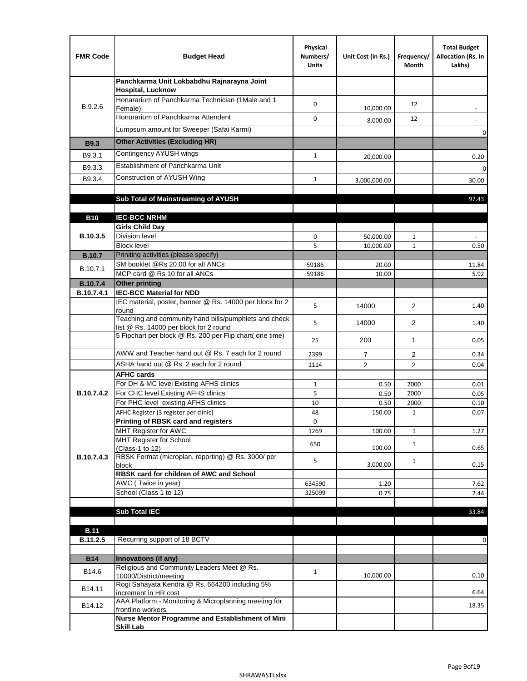| <b>FMR Code</b>               | <b>Budget Head</b>                                                                              | Physical<br>Numbers/<br><b>Units</b> | Unit Cost (in Rs.) | Frequency/<br>Month | <b>Total Budget</b><br>Allocation (Rs. In<br>Lakhs) |
|-------------------------------|-------------------------------------------------------------------------------------------------|--------------------------------------|--------------------|---------------------|-----------------------------------------------------|
|                               | Panchkarma Unit Lokbabdhu Rajnarayna Joint<br><b>Hospital, Lucknow</b>                          |                                      |                    |                     |                                                     |
| B.9.2.6                       | Honararium of Panchkarma Technician (1Male and 1<br>Female)                                     | 0                                    | 10,000.00          | 12                  |                                                     |
|                               | Honorarium of Panchkarma Attendent                                                              | 0                                    | 8,000.00           | 12                  |                                                     |
|                               | Lumpsum amount for Sweeper (Safai Karmi)                                                        |                                      |                    |                     | 0                                                   |
| <b>B9.3</b>                   | <b>Other Activities (Excluding HR)</b>                                                          |                                      |                    |                     |                                                     |
| B9.3.1                        | Contingency AYUSH wings                                                                         | $\mathbf{1}$                         | 20,000.00          |                     | 0.20                                                |
| B9.3.3                        | Establishment of Panchkarma Unit                                                                |                                      |                    |                     | $\mathbf 0$                                         |
| B9.3.4                        | Construction of AYUSH Wing                                                                      | $\mathbf{1}$                         | 3,000,000.00       |                     | 30.00                                               |
|                               |                                                                                                 |                                      |                    |                     |                                                     |
|                               | Sub Total of Mainstreaming of AYUSH                                                             |                                      |                    |                     | 97.43                                               |
|                               |                                                                                                 |                                      |                    |                     |                                                     |
| <b>B10</b>                    | <b>IEC-BCC NRHM</b>                                                                             |                                      |                    |                     |                                                     |
| B.10.3.5                      | <b>Girls Child Day</b><br><b>Division level</b>                                                 | 0                                    | 50,000.00          | 1                   |                                                     |
|                               | <b>Block level</b>                                                                              | 5                                    | 10,000.00          | $\mathbf{1}$        | 0.50                                                |
| <b>B.10.7</b>                 | Priniting activities (please specify)                                                           |                                      |                    |                     |                                                     |
| B.10.7.1                      | SM booklet @Rs 20.00 for all ANCs                                                               | 59186                                | 20.00              |                     | 11.84                                               |
|                               | MCP card @ Rs 10 for all ANCs                                                                   | 59186                                | 10.00              |                     | 5.92                                                |
| <b>B.10.7.4</b><br>B.10.7.4.1 | <b>Other printing</b><br><b>IEC-BCC Material for NDD</b>                                        |                                      |                    |                     |                                                     |
|                               | IEC material, poster, banner @ Rs. 14000 per block for 2<br>round                               | 5                                    | 14000              | $\overline{2}$      | 1.40                                                |
|                               | Teaching and community hand bills/pumphlets and check<br>list @ Rs. 14000 per block for 2 round | 5                                    | 14000              | 2                   | 1.40                                                |
|                               | 5 Fipchart per block @ Rs. 200 per Flip chart( one time)                                        | 25                                   | 200                | 1                   | 0.05                                                |
|                               | AWW and Teacher hand out @ Rs. 7 each for 2 round                                               | 2399                                 | $\overline{7}$     | 2                   | 0.34                                                |
|                               | ASHA hand out @ Rs. 2 each for 2 round                                                          | 1114                                 | $\overline{2}$     | 2                   | 0.04                                                |
|                               | <b>AFHC cards</b>                                                                               |                                      |                    |                     |                                                     |
| B.10.7.4.2                    | For DH & MC level Existing AFHS clinics<br>For CHC level Existing AFHS clinics                  | 1<br>5                               | 0.50<br>0.50       | 2000<br>2000        | 0.01<br>0.05                                        |
|                               | For PHC level existing AFHS clinics                                                             | 10                                   | 0.50               | 2000                | 0.10                                                |
|                               | AFHC Register (3 register per clinic)                                                           | 48                                   | 150.00             | $\mathbf{1}$        | 0.07                                                |
|                               | Printing of RBSK card and registers                                                             | 0                                    |                    |                     |                                                     |
|                               | MHT Register for AWC                                                                            | 1269                                 | 100.00             | $\mathbf{1}$        | 1.27                                                |
|                               | MHT Register for School<br>(Class-1 to 12)                                                      | 650                                  | 100.00             | $\mathbf{1}$        | 0.65                                                |
| B.10.7.4.3                    | RBSK Format (microplan, reporting) @ Rs. 3000/ per<br>block                                     | 5                                    | 3,000.00           | $\mathbf{1}$        | 0.15                                                |
|                               | RBSK card for children of AWC and School                                                        |                                      |                    |                     |                                                     |
|                               | AWC (Twice in year)                                                                             | 634590                               | 1.20               |                     | 7.62                                                |
|                               | School (Class 1 to 12)                                                                          | 325099                               | 0.75               |                     | 2.44                                                |
|                               | <b>Sub Total IEC</b>                                                                            |                                      |                    |                     | 33.84                                               |
|                               |                                                                                                 |                                      |                    |                     |                                                     |
| <b>B.11</b>                   |                                                                                                 |                                      |                    |                     |                                                     |
| B.11.2.5                      | Recurring support of 18 BCTV                                                                    |                                      |                    |                     | 0                                                   |
|                               |                                                                                                 |                                      |                    |                     |                                                     |
| <b>B14</b>                    | Innovations (if any)<br>Religious and Community Leaders Meet @ Rs.                              |                                      |                    |                     |                                                     |
| B14.6                         | 10000/District/meeting<br>Rogi Sahayata Kendra @ Rs. 664200 including 5%                        | $\mathbf{1}$                         | 10,000.00          |                     | 0.10                                                |
| B14.11                        | increment in HR cost                                                                            |                                      |                    |                     | 6.64                                                |
| B14.12                        | AAA Platform - Monitoring & Microplanning meeting for<br>frontline workers                      |                                      |                    |                     | 18.35                                               |
|                               | Nurse Mentor Programme and Establishment of Mini                                                |                                      |                    |                     |                                                     |
|                               | <b>Skill Lab</b>                                                                                |                                      |                    |                     |                                                     |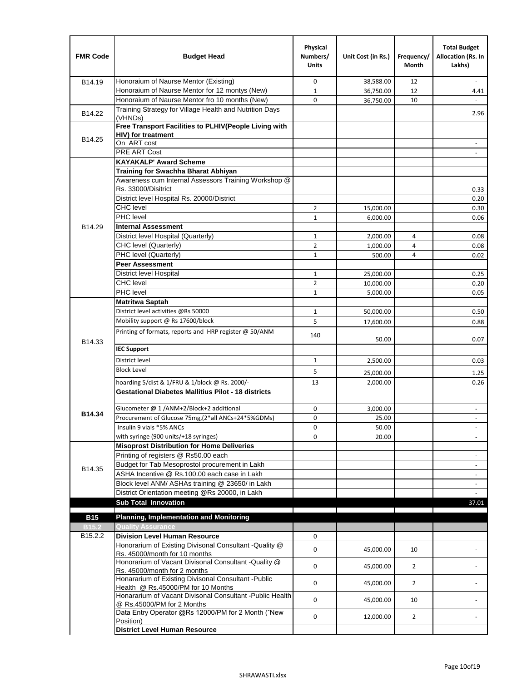| <b>FMR Code</b>     | <b>Budget Head</b>                                                                              | Physical<br>Numbers/<br><b>Units</b> | Unit Cost (in Rs.) | Frequency/<br>Month | <b>Total Budget</b><br>Allocation (Rs. In<br>Lakhs) |
|---------------------|-------------------------------------------------------------------------------------------------|--------------------------------------|--------------------|---------------------|-----------------------------------------------------|
| B14.19              | Honoraium of Naurse Mentor (Existing)                                                           | 0                                    | 38,588.00          | 12                  |                                                     |
|                     | Honoraium of Naurse Mentor for 12 montys (New)                                                  | $\mathbf 1$                          | 36,750.00          | 12                  | 4.41                                                |
|                     | Honoraium of Naurse Mentor fro 10 months (New)                                                  | 0                                    | 36,750.00          | 10                  | $\omega$                                            |
| B14.22              | Training Strategy for Village Health and Nutrition Days<br>(VHNDs)                              |                                      |                    |                     | 2.96                                                |
|                     | Free Transport Facilities to PLHIV(People Living with                                           |                                      |                    |                     |                                                     |
| B14.25              | HIV) for treatment                                                                              |                                      |                    |                     |                                                     |
|                     | On ART cost                                                                                     |                                      |                    |                     |                                                     |
|                     | PRE ART Cost                                                                                    |                                      |                    |                     | $\overline{a}$                                      |
|                     | <b>KAYAKALP' Award Scheme</b>                                                                   |                                      |                    |                     |                                                     |
|                     | Training for Swachha Bharat Abhiyan                                                             |                                      |                    |                     |                                                     |
|                     | Awareness cum Internal Assessors Training Workshop @                                            |                                      |                    |                     |                                                     |
|                     | Rs. 33000/Disitrict                                                                             |                                      |                    |                     | 0.33                                                |
|                     | District level Hospital Rs. 20000/District                                                      |                                      |                    |                     | 0.20                                                |
|                     | <b>CHC</b> level                                                                                | 2                                    | 15,000.00          |                     | 0.30                                                |
|                     | PHC level                                                                                       | $\mathbf{1}$                         | 6,000.00           |                     | 0.06                                                |
| B14.29              | <b>Internal Assessment</b>                                                                      |                                      |                    |                     |                                                     |
|                     | District level Hospital (Quarterly)                                                             | $\mathbf 1$                          | 2,000.00           | 4                   | 0.08                                                |
|                     | CHC level (Quarterly)                                                                           | $\overline{2}$                       | 1,000.00           | $\overline{4}$      | 0.08                                                |
|                     | PHC level (Quarterly)                                                                           | $\mathbf{1}$                         | 500.00             | 4                   | 0.02                                                |
|                     | <b>Peer Assessment</b>                                                                          |                                      |                    |                     |                                                     |
|                     | <b>District level Hospital</b>                                                                  | 1                                    | 25,000.00          |                     | 0.25                                                |
|                     | <b>CHC</b> level                                                                                | $\overline{2}$                       | 10,000.00          |                     | 0.20                                                |
|                     | PHC level                                                                                       | $\mathbf{1}$                         | 5,000.00           |                     | 0.05                                                |
|                     | <b>Matritwa Saptah</b>                                                                          |                                      |                    |                     |                                                     |
|                     | District level activities @Rs 50000                                                             | 1                                    | 50,000.00          |                     | 0.50                                                |
|                     | Mobility support @ Rs 17600/block                                                               | 5                                    | 17,600.00          |                     | 0.88                                                |
| B14.33              | Printing of formats, reports and HRP register @ 50/ANM                                          | 140                                  | 50.00              |                     | 0.07                                                |
|                     | <b>IEC Support</b>                                                                              |                                      |                    |                     |                                                     |
|                     | District level                                                                                  | 1                                    | 2,500.00           |                     | 0.03                                                |
|                     | <b>Block Level</b>                                                                              | 5                                    | 25,000.00          |                     | 1.25                                                |
|                     | hoarding 5/dist & 1/FRU & 1/block @ Rs. 2000/-                                                  | 13                                   | 2,000.00           |                     | 0.26                                                |
|                     | <b>Gestational Diabetes Mallitius Pilot - 18 districts</b>                                      |                                      |                    |                     |                                                     |
|                     |                                                                                                 |                                      |                    |                     |                                                     |
| B14.34              | Glucometer @ 1 /ANM+2/Block+2 additional<br>Procurement of Glucose 75mg, (2*all ANCs+24*5%GDMs) | 0                                    | 3,000.00           |                     |                                                     |
|                     |                                                                                                 | 0                                    | 25.00              |                     |                                                     |
|                     | Insulin 9 vials *5% ANCs                                                                        | 0                                    | 50.00              |                     | $\blacksquare$                                      |
|                     | with syringe (900 units/+18 syringes)<br><b>Misoprost Distribution for Home Deliveries</b>      | 0                                    | 20.00              |                     |                                                     |
|                     | Printing of registers @ Rs50.00 each                                                            |                                      |                    |                     |                                                     |
|                     | Budget for Tab Mesoprostol procurement in Lakh                                                  |                                      |                    |                     | $\overline{\phantom{a}}$<br>$\blacksquare$          |
| B14.35              | ASHA Incentive @ Rs.100.00 each case in Lakh                                                    |                                      |                    |                     |                                                     |
|                     | Block level ANM/ ASHAs training @ 23650/ in Lakh                                                |                                      |                    |                     | $\overline{\phantom{a}}$                            |
|                     | District Orientation meeting @Rs 20000, in Lakh                                                 |                                      |                    |                     | $\omega$                                            |
|                     | <b>Sub Total Innovation</b>                                                                     |                                      |                    |                     | 37.01                                               |
| <b>B15</b>          | <b>Planning, Implementation and Monitoring</b>                                                  |                                      |                    |                     |                                                     |
| <b>B15.2</b>        | <b>Quality Assurance</b>                                                                        |                                      |                    |                     |                                                     |
| B <sub>15.2.2</sub> | <b>Division Level Human Resource</b>                                                            | 0                                    |                    |                     |                                                     |
|                     | Honorarium of Existing Divisonal Consultant - Quality @                                         |                                      |                    |                     |                                                     |
|                     | Rs. 45000/month for 10 months                                                                   | 0                                    | 45,000.00          | 10                  |                                                     |
|                     | Honorarium of Vacant Divisonal Consultant - Quality @<br>Rs. 45000/month for 2 months           | 0                                    | 45,000.00          | $\overline{2}$      |                                                     |
|                     | Honararium of Existing Divisonal Consultant - Public                                            | 0                                    | 45,000.00          | $\overline{2}$      |                                                     |
|                     | Health @ Rs.45000/PM for 10 Months<br>Honararium of Vacant Divisonal Consultant - Public Health | 0                                    | 45,000.00          | 10                  |                                                     |
|                     | @ Rs.45000/PM for 2 Months<br>Data Entry Operator @Rs 12000/PM for 2 Month ("New                |                                      |                    |                     |                                                     |
|                     | Position)<br><b>District Level Human Resource</b>                                               | 0                                    | 12,000.00          | $\overline{2}$      |                                                     |
|                     |                                                                                                 |                                      |                    |                     |                                                     |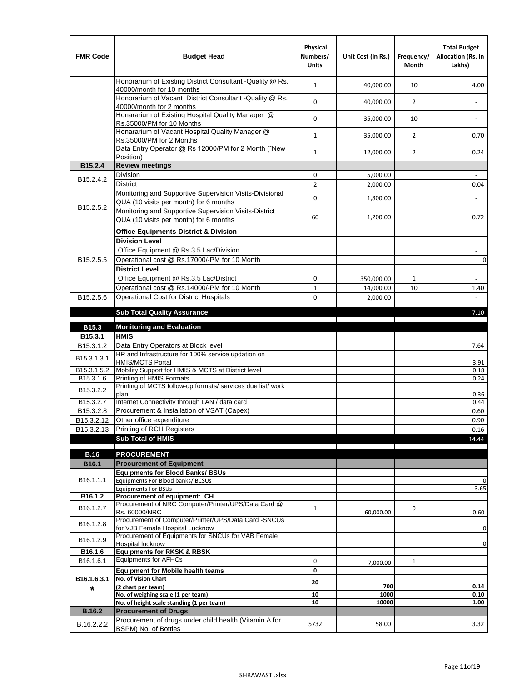| <b>FMR Code</b>         | <b>Budget Head</b>                                                                                | Physical<br>Numbers/<br><b>Units</b> | Unit Cost (in Rs.) | Frequency/<br><b>Month</b> | <b>Total Budget</b><br>Allocation (Rs. In<br>Lakhs) |
|-------------------------|---------------------------------------------------------------------------------------------------|--------------------------------------|--------------------|----------------------------|-----------------------------------------------------|
|                         | Honorarium of Existing District Consultant -Quality @ Rs.<br>40000/month for 10 months            | $\mathbf{1}$                         | 40,000.00          | 10                         | 4.00                                                |
|                         | Honorarium of Vacant District Consultant -Quality @ Rs.<br>40000/month for 2 months               | $\mathbf 0$                          | 40,000.00          | $\overline{2}$             | $\ddot{\phantom{a}}$                                |
|                         | Honararium of Existing Hospital Quality Manager @<br>Rs.35000/PM for 10 Months                    | 0                                    | 35,000.00          | 10                         |                                                     |
|                         | Honararium of Vacant Hospital Quality Manager @<br>Rs.35000/PM for 2 Months                       | $\mathbf{1}$                         | 35,000.00          | $\overline{2}$             | 0.70                                                |
|                         | Data Entry Operator @ Rs 12000/PM for 2 Month ("New<br>Position)                                  | $\mathbf{1}$                         | 12,000.00          | $\overline{2}$             | 0.24                                                |
| B15.2.4                 | <b>Review meetings</b>                                                                            |                                      |                    |                            |                                                     |
| B <sub>15.2</sub> .4.2  | Division                                                                                          | 0                                    | 5,000.00           |                            |                                                     |
|                         | <b>District</b>                                                                                   | $\overline{2}$                       | 2,000.00           |                            | 0.04                                                |
| B15.2.5.2               | Monitoring and Supportive Supervision Visits-Divisional<br>QUA (10 visits per month) for 6 months | $\mathbf 0$                          | 1,800.00           |                            |                                                     |
|                         | Monitoring and Supportive Supervision Visits-District<br>QUA (10 visits per month) for 6 months   | 60                                   | 1,200.00           |                            | 0.72                                                |
|                         | <b>Office Equipments-District &amp; Division</b>                                                  |                                      |                    |                            |                                                     |
|                         | <b>Division Level</b>                                                                             |                                      |                    |                            |                                                     |
|                         | Office Equipment @ Rs.3.5 Lac/Division                                                            |                                      |                    |                            | $\sim$                                              |
| B15.2.5.5               | Operational cost @ Rs.17000/-PM for 10 Month                                                      |                                      |                    |                            | $\pmb{0}$                                           |
|                         | <b>District Level</b>                                                                             |                                      |                    |                            |                                                     |
|                         | Office Equipment @ Rs.3.5 Lac/District                                                            | 0                                    | 350,000.00         | $\mathbf{1}$               | $\blacksquare$                                      |
|                         | Operational cost @ Rs.14000/-PM for 10 Month                                                      | $1\,$                                | 14,000.00          | 10                         | 1.40                                                |
| B15.2.5.6               | <b>Operational Cost for District Hospitals</b>                                                    | 0                                    | 2,000.00           |                            | $\mathbf{r}$                                        |
|                         | <b>Sub Total Quality Assurance</b>                                                                |                                      |                    |                            | 7.10                                                |
| B15.3                   | <b>Monitoring and Evaluation</b>                                                                  |                                      |                    |                            |                                                     |
| B15.3.1                 | <b>HMIS</b>                                                                                       |                                      |                    |                            |                                                     |
| B15.3.1.2               | Data Entry Operators at Block level                                                               |                                      |                    |                            | 7.64                                                |
| B15.3.1.3.1             | HR and Infrastructure for 100% service updation on<br><b>HMIS/MCTS Portal</b>                     |                                      |                    |                            | 3.91                                                |
| B <sub>15.3.1.5.2</sub> | Mobility Support for HMIS & MCTS at District level                                                |                                      |                    |                            | 0.18                                                |
| B15.3.1.6               | Printing of HMIS Formats<br>Printing of MCTS follow-up formats/ services due list/ work           |                                      |                    |                            | 0.24                                                |
| B15.3.2.2               | plan                                                                                              |                                      |                    |                            | 0.36                                                |
| B15.3.2.7               | Internet Connectivity through LAN / data card                                                     |                                      |                    |                            | 0.44                                                |
| B15.3.2.8               | Procurement & Installation of VSAT (Capex)                                                        |                                      |                    |                            | 0.60                                                |
| B15.3.2.12              | Other office expenditure                                                                          |                                      |                    |                            | 0.90                                                |
| B15.3.2.13              | Printing of RCH Registers                                                                         |                                      |                    |                            | 0.16                                                |
|                         | <b>Sub Total of HMIS</b>                                                                          |                                      |                    |                            | 14.44                                               |
| <b>B.16</b>             | <b>PROCUREMENT</b>                                                                                |                                      |                    |                            |                                                     |
| B16.1                   | <b>Procurement of Equipment</b>                                                                   |                                      |                    |                            |                                                     |
|                         | <b>Equipments for Blood Banks/ BSUs</b>                                                           |                                      |                    |                            |                                                     |
| B16.1.1.1               | Equipments For Blood banks/ BCSUs                                                                 |                                      |                    |                            | 0                                                   |
| B16.1.2                 | <b>Equipments For BSUs</b><br>Procurement of equipment: CH                                        |                                      |                    |                            | 3.65                                                |
|                         | Procurement of NRC Computer/Printer/UPS/Data Card @                                               |                                      |                    |                            |                                                     |
| B16.1.2.7               | Rs. 60000/NRC                                                                                     | $\mathbf{1}$                         | 60,000.00          | 0                          | 0.60                                                |
| B16.1.2.8               | Procurement of Computer/Printer/UPS/Data Card -SNCUs                                              |                                      |                    |                            |                                                     |
|                         | for VJB Female Hospital Lucknow<br>Procurement of Equipments for SNCUs for VAB Female             |                                      |                    |                            | 0                                                   |
| B16.1.2.9               | Hospital lucknow                                                                                  |                                      |                    |                            | 0                                                   |
| B16.1.6                 | <b>Equipments for RKSK &amp; RBSK</b>                                                             |                                      |                    |                            |                                                     |
| B16.1.6.1               | <b>Equipments for AFHCs</b>                                                                       | 0                                    | 7,000.00           | $\mathbf{1}$               | ÷,                                                  |
|                         | <b>Equipment for Mobile health teams</b>                                                          | 0                                    |                    |                            |                                                     |
| B16.1.6.3.1<br>*        | No. of Vision Chart<br>(2 chart per team)                                                         | 20                                   | 700                |                            | 0.14                                                |
|                         | No. of weighing scale (1 per team)                                                                | 10                                   | 1000               |                            | 0.10                                                |
|                         | No. of height scale standing (1 per team)                                                         | 10                                   | 10000              |                            | 1.00                                                |
| <b>B.16.2</b>           | <b>Procurement of Drugs</b>                                                                       |                                      |                    |                            |                                                     |
| B.16.2.2.2              | Procurement of drugs under child health (Vitamin A for<br>BSPM) No. of Bottles                    | 5732                                 | 58.00              |                            | 3.32                                                |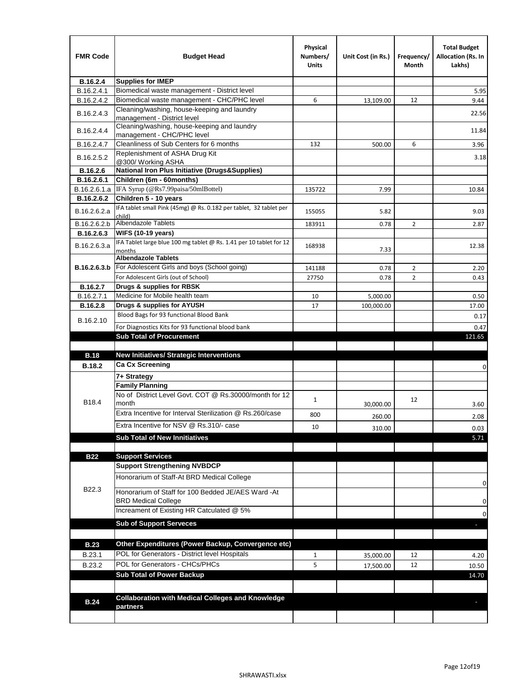| <b>FMR Code</b> | <b>Budget Head</b>                                                            | Physical<br>Numbers/<br>Units | Unit Cost (in Rs.) | Frequency/<br>Month | <b>Total Budget</b><br>Allocation (Rs. In<br>Lakhs) |
|-----------------|-------------------------------------------------------------------------------|-------------------------------|--------------------|---------------------|-----------------------------------------------------|
| B.16.2.4        | <b>Supplies for IMEP</b>                                                      |                               |                    |                     |                                                     |
| B.16.2.4.1      | Biomedical waste management - District level                                  |                               |                    |                     | 5.95                                                |
| B.16.2.4.2      | Biomedical waste management - CHC/PHC level                                   | 6                             | 13,109.00          | 12                  | 9.44                                                |
| B.16.2.4.3      | Cleaning/washing, house-keeping and laundry<br>management - District level    |                               |                    |                     | 22.56                                               |
| B.16.2.4.4      | Cleaning/washing, house-keeping and laundry<br>management - CHC/PHC level     |                               |                    |                     | 11.84                                               |
| B.16.2.4.7      | Cleanliness of Sub Centers for 6 months                                       | 132                           | 500.00             | 6                   | 3.96                                                |
| B.16.2.5.2      | Replenishment of ASHA Drug Kit<br>@300/ Working ASHA                          |                               |                    |                     | 3.18                                                |
| B.16.2.6        | <b>National Iron Plus Initiative (Drugs&amp;Supplies)</b>                     |                               |                    |                     |                                                     |
| B.16.2.6.1      | Children (6m - 60months)                                                      |                               |                    |                     |                                                     |
| B.16.2.6.1.a    | IFA Syrup (@Rs7.99paisa/50mlBottel)                                           | 135722                        | 7.99               |                     | 10.84                                               |
| B.16.2.6.2      | Children 5 - 10 years                                                         |                               |                    |                     |                                                     |
| B.16.2.6.2.a    | IFA tablet small Pink (45mg) @ Rs. 0.182 per tablet, 32 tablet per<br>child)  | 155055                        | 5.82               |                     | 9.03                                                |
| B.16.2.6.2.b    | <b>Albendazole Tablets</b>                                                    | 183911                        | 0.78               | 2                   | 2.87                                                |
| B.16.2.6.3      | <b>WIFS (10-19 years)</b>                                                     |                               |                    |                     |                                                     |
| B.16.2.6.3.a    | IFA Tablet large blue 100 mg tablet @ Rs. 1.41 per 10 tablet for 12<br>months | 168938                        | 7.33               |                     | 12.38                                               |
|                 | <b>Albendazole Tablets</b>                                                    |                               |                    |                     |                                                     |
| B.16.2.6.3.b    | For Adolescent Girls and boys (School going)                                  | 141188                        | 0.78               | $\overline{2}$      | 2.20                                                |
|                 | For Adolescent Girls (out of School)                                          | 27750                         | 0.78               | $\overline{2}$      | 0.43                                                |
| B.16.2.7        | Drugs & supplies for RBSK                                                     |                               |                    |                     |                                                     |
| B.16.2.7.1      | Medicine for Mobile health team                                               | 10                            | 5,000.00           |                     | 0.50                                                |
| <b>B.16.2.8</b> | Drugs & supplies for AYUSH                                                    | 17                            | 100,000.00         |                     | 17.00                                               |
| B.16.2.10       | Blood Bags for 93 functional Blood Bank                                       |                               |                    |                     | 0.17                                                |
|                 | For Diagnostics Kits for 93 functional blood bank                             |                               |                    |                     | 0.47                                                |
|                 | <b>Sub Total of Procurement</b>                                               |                               |                    |                     | 121.65                                              |
| <b>B.18</b>     | <b>New Initiatives/ Strategic Interventions</b>                               |                               |                    |                     |                                                     |
|                 | <b>Ca Cx Screening</b>                                                        |                               |                    |                     |                                                     |
| <b>B.18.2</b>   |                                                                               |                               |                    |                     | 0                                                   |
|                 | 7+ Strategy<br><b>Family Planning</b>                                         |                               |                    |                     |                                                     |
| B18.4           | No of District Level Govt. COT @ Rs.30000/month for 12<br>month               | $\mathbf{1}$                  |                    | 12                  |                                                     |
|                 | Extra Incentive for Interval Sterilization @ Rs.260/case                      |                               | 30,000.00          |                     | 3.60                                                |
|                 |                                                                               | 800                           | 260.00             |                     | 2.08                                                |
|                 | Extra Incentive for NSV @ Rs.310/- case                                       | 10                            | 310.00             |                     | 0.03                                                |
|                 | <b>Sub Total of New Innitiatives</b>                                          |                               |                    |                     | 5.71                                                |
|                 |                                                                               |                               |                    |                     |                                                     |
| <b>B22</b>      | <b>Support Services</b><br><b>Support Strengthening NVBDCP</b>                |                               |                    |                     |                                                     |
|                 | Honorarium of Staff-At BRD Medical College                                    |                               |                    |                     |                                                     |
| B22.3           | Honorarium of Staff for 100 Bedded JE/AES Ward -At                            |                               |                    |                     | 0                                                   |
|                 | <b>BRD Medical College</b><br>Increament of Existing HR Catculated @ 5%       |                               |                    |                     | 0                                                   |
|                 | <b>Sub of Support Serveces</b>                                                |                               |                    |                     | 0                                                   |
|                 |                                                                               |                               |                    |                     |                                                     |
| <b>B.23</b>     | Other Expenditures (Power Backup, Convergence etc)                            |                               |                    |                     |                                                     |
|                 | POL for Generators - District level Hospitals                                 |                               |                    |                     |                                                     |
| B.23.1          | POL for Generators - CHCs/PHCs                                                | $\mathbf{1}$                  | 35,000.00          | 12                  | 4.20                                                |
| B.23.2          | <b>Sub Total of Power Backup</b>                                              | 5                             | 17,500.00          | 12                  | 10.50                                               |
|                 |                                                                               |                               |                    |                     | 14.70                                               |
|                 | <b>Collaboration with Medical Colleges and Knowledge</b>                      |                               |                    |                     |                                                     |
| <b>B.24</b>     | partners                                                                      |                               |                    |                     |                                                     |
|                 |                                                                               |                               |                    |                     |                                                     |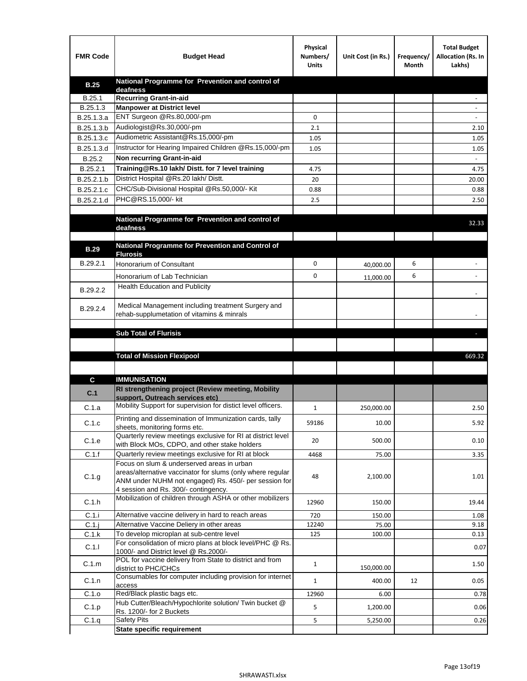| <b>FMR Code</b> | <b>Budget Head</b>                                                                                            | Physical<br>Numbers/<br><b>Units</b> | Unit Cost (in Rs.) | Frequency/<br>Month | <b>Total Budget</b><br>Allocation (Rs. In<br>Lakhs) |
|-----------------|---------------------------------------------------------------------------------------------------------------|--------------------------------------|--------------------|---------------------|-----------------------------------------------------|
| <b>B.25</b>     | National Programme for Prevention and control of                                                              |                                      |                    |                     |                                                     |
| B.25.1          | deafness<br>Recurring Grant-in-aid                                                                            |                                      |                    |                     |                                                     |
| B.25.1.3        | <b>Manpower at District level</b>                                                                             |                                      |                    |                     |                                                     |
| B.25.1.3.a      | ENT Surgeon @Rs.80,000/-pm                                                                                    | 0                                    |                    |                     |                                                     |
| B.25.1.3.b      | Audiologist@Rs.30,000/-pm                                                                                     | 2.1                                  |                    |                     | 2.10                                                |
| B.25.1.3.c      | Audiometric Assistant@Rs.15,000/-pm                                                                           | 1.05                                 |                    |                     | 1.05                                                |
| B.25.1.3.d      | Instructor for Hearing Impaired Children @Rs.15,000/-pm                                                       | 1.05                                 |                    |                     | 1.05                                                |
| B.25.2          | Non recurring Grant-in-aid                                                                                    |                                      |                    |                     |                                                     |
| B.25.2.1        | Training@Rs.10 lakh/ Distt. for 7 level training                                                              | 4.75                                 |                    |                     | 4.75                                                |
| B.25.2.1.b      | District Hospital @Rs.20 lakh/Distt.                                                                          | 20                                   |                    |                     | 20.00                                               |
| B.25.2.1.c      | CHC/Sub-Divisional Hospital @Rs.50,000/- Kit                                                                  | 0.88                                 |                    |                     | 0.88                                                |
| B.25.2.1.d      | PHC@RS.15,000/- kit                                                                                           | 2.5                                  |                    |                     | 2.50                                                |
|                 |                                                                                                               |                                      |                    |                     |                                                     |
|                 | National Programme for Prevention and control of<br>deafness                                                  |                                      |                    |                     | 32.33                                               |
|                 |                                                                                                               |                                      |                    |                     |                                                     |
| <b>B.29</b>     | National Programme for Prevention and Control of                                                              |                                      |                    |                     |                                                     |
|                 | <b>Flurosis</b>                                                                                               |                                      |                    |                     |                                                     |
| B.29.2.1        | Honorarium of Consultant                                                                                      | 0                                    | 40,000.00          | 6                   |                                                     |
|                 | Honorarium of Lab Technician                                                                                  | 0                                    | 11,000.00          | 6                   | $\ddot{\phantom{1}}$                                |
| B.29.2.2        | <b>Health Education and Publicity</b>                                                                         |                                      |                    |                     |                                                     |
|                 |                                                                                                               |                                      |                    |                     |                                                     |
| B.29.2.4        | Medical Management including treatment Surgery and<br>rehab-supplumetation of vitamins & minrals              |                                      |                    |                     |                                                     |
|                 |                                                                                                               |                                      |                    |                     |                                                     |
|                 | <b>Sub Total of Flurisis</b>                                                                                  |                                      |                    |                     | ь                                                   |
|                 |                                                                                                               |                                      |                    |                     |                                                     |
|                 | <b>Total of Mission Flexipool</b>                                                                             |                                      |                    |                     | 669.32                                              |
|                 |                                                                                                               |                                      |                    |                     |                                                     |
| C               | <b>IMMUNISATION</b>                                                                                           |                                      |                    |                     |                                                     |
| C.1             | RI strengthening project (Review meeting, Mobility                                                            |                                      |                    |                     |                                                     |
|                 | support, Outreach services etc)                                                                               |                                      |                    |                     |                                                     |
| C.1.a           | Mobility Support for supervision for distict level officers.                                                  | $\mathbf{1}$                         | 250,000.00         |                     | 2.50                                                |
| C.1.c           | Printing and dissemination of Immunization cards, tally                                                       | 59186                                | 10.00              |                     | 5.92                                                |
|                 | sheets, monitoring forms etc.                                                                                 |                                      |                    |                     |                                                     |
| C.1.e           | Quarterly review meetings exclusive for RI at district level<br>with Block MOs, CDPO, and other stake holders | 20                                   | 500.00             |                     | 0.10                                                |
| C.1.f           | Quarterly review meetings exclusive for RI at block                                                           | 4468                                 | 75.00              |                     | 3.35                                                |
|                 | Focus on slum & underserved areas in urban                                                                    |                                      |                    |                     |                                                     |
| C.1.g           | areas/alternative vaccinator for slums (only where regular                                                    | 48                                   | 2,100.00           |                     | 1.01                                                |
|                 | ANM under NUHM not engaged) Rs. 450/- per session for<br>4 session and Rs. 300/- contingency.                 |                                      |                    |                     |                                                     |
|                 | Mobilization of children through ASHA or other mobilizers                                                     |                                      |                    |                     |                                                     |
| C.1.h           |                                                                                                               | 12960                                | 150.00             |                     | 19.44                                               |
| C.1.i           | Alternative vaccine delivery in hard to reach areas                                                           | 720                                  | 150.00             |                     | 1.08                                                |
| $C.1$ .j        | Alternative Vaccine Deliery in other areas                                                                    | 12240                                | 75.00              |                     | 9.18                                                |
| C.1.k           | To develop microplan at sub-centre level<br>For consolidation of micro plans at block level/PHC @ Rs.         | 125                                  | 100.00             |                     | 0.13                                                |
| C.1.1           | 1000/- and District level @ Rs.2000/-                                                                         |                                      |                    |                     | 0.07                                                |
| C.1.m           | POL for vaccine delivery from State to district and from                                                      | $\mathbf{1}$                         |                    |                     | 1.50                                                |
|                 | district to PHC/CHCs                                                                                          |                                      | 150,000.00         |                     |                                                     |
| C.1.n           | Consumables for computer including provision for internet<br>access                                           | $\mathbf{1}$                         | 400.00             | 12                  | 0.05                                                |
| C.1.o           | Red/Black plastic bags etc.                                                                                   | 12960                                | 6.00               |                     | 0.78                                                |
| C.1.p           | Hub Cutter/Bleach/Hypochlorite solution/ Twin bucket @                                                        | 5                                    | 1,200.00           |                     | 0.06                                                |
|                 | Rs. 1200/- for 2 Buckets                                                                                      |                                      |                    |                     |                                                     |
| C.1.q           | <b>Safety Pits</b><br><b>State specific requirement</b>                                                       | 5                                    | 5,250.00           |                     | 0.26                                                |
|                 |                                                                                                               |                                      |                    |                     |                                                     |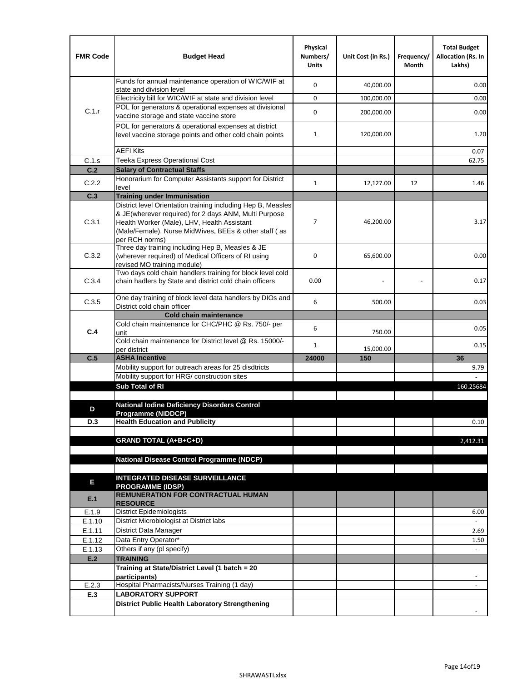| <b>FMR Code</b> | <b>Budget Head</b>                                                                                                                                                              | Physical<br>Numbers/<br><b>Units</b> | Unit Cost (in Rs.) | Frequency/<br>Month | <b>Total Budget</b><br><b>Allocation (Rs. In</b><br>Lakhs) |
|-----------------|---------------------------------------------------------------------------------------------------------------------------------------------------------------------------------|--------------------------------------|--------------------|---------------------|------------------------------------------------------------|
|                 | Funds for annual maintenance operation of WIC/WIF at<br>state and division level                                                                                                | $\mathbf 0$                          | 40,000.00          |                     | 0.00                                                       |
|                 | Electricity bill for WIC/WIF at state and division level                                                                                                                        | $\mathbf 0$                          | 100,000.00         |                     | 0.00                                                       |
| C.1.r           | POL for generators & operational expenses at divisional                                                                                                                         | $\mathbf 0$                          |                    |                     |                                                            |
|                 | vaccine storage and state vaccine store                                                                                                                                         |                                      | 200,000.00         |                     | 0.00                                                       |
|                 | POL for generators & operational expenses at district<br>level vaccine storage points and other cold chain points                                                               | $\mathbf{1}$                         | 120,000.00         |                     | 1.20                                                       |
|                 | <b>AEFI Kits</b>                                                                                                                                                                |                                      |                    |                     | 0.07                                                       |
| C.1.s           | Teeka Express Operational Cost                                                                                                                                                  |                                      |                    |                     | 62.75                                                      |
| C.2             | <b>Salary of Contractual Staffs</b>                                                                                                                                             |                                      |                    |                     |                                                            |
| C.2.2           | Honorarium for Computer Assistants support for District<br>level                                                                                                                | $\mathbf{1}$                         | 12,127.00          | 12                  | 1.46                                                       |
| C.3             | <b>Training under Immunisation</b>                                                                                                                                              |                                      |                    |                     |                                                            |
|                 | District level Orientation training including Hep B, Measles                                                                                                                    |                                      |                    |                     |                                                            |
| C.3.1           | & JE(wherever required) for 2 days ANM, Multi Purpose<br>Health Worker (Male), LHV, Health Assistant<br>(Male/Female), Nurse MidWives, BEEs & other staff (as<br>per RCH norms) | 7                                    | 46,200.00          |                     | 3.17                                                       |
| C.3.2           | Three day training including Hep B, Measles & JE<br>(wherever required) of Medical Officers of RI using<br>revised MO training module)                                          | $\mathbf 0$                          | 65,600.00          |                     | 0.00                                                       |
| C.3.4           | Two days cold chain handlers training for block level cold<br>chain hadlers by State and district cold chain officers                                                           | 0.00                                 |                    |                     | 0.17                                                       |
| C.3.5           | One day training of block level data handlers by DIOs and<br>District cold chain officer                                                                                        | 6                                    | 500.00             |                     | 0.03                                                       |
|                 | <b>Cold chain maintenance</b>                                                                                                                                                   |                                      |                    |                     |                                                            |
|                 | Cold chain maintenance for CHC/PHC @ Rs. 750/- per                                                                                                                              | 6                                    |                    |                     | 0.05                                                       |
| C.4             | unit<br>Cold chain maintenance for District level @ Rs. 15000/-                                                                                                                 | $\mathbf{1}$                         | 750.00             |                     | 0.15                                                       |
|                 | per district                                                                                                                                                                    |                                      | 15,000.00          |                     |                                                            |
| C.5             | <b>ASHA Incentive</b><br>Mobility support for outreach areas for 25 disdtricts                                                                                                  | 24000                                | 150                |                     | 36                                                         |
|                 | Mobility support for HRG/ construction sites                                                                                                                                    |                                      |                    |                     | 9.79                                                       |
|                 | Sub Total of RI                                                                                                                                                                 |                                      |                    |                     | 160.25684                                                  |
|                 |                                                                                                                                                                                 |                                      |                    |                     |                                                            |
| D               | <b>National Iodine Deficiency Disorders Control</b>                                                                                                                             |                                      |                    |                     |                                                            |
|                 | Programme (NIDDCP)                                                                                                                                                              |                                      |                    |                     |                                                            |
| D.3             | <b>Health Education and Publicity</b>                                                                                                                                           |                                      |                    |                     | 0.10                                                       |
|                 | <b>GRAND TOTAL (A+B+C+D)</b>                                                                                                                                                    |                                      |                    |                     | 2,412.31                                                   |
|                 |                                                                                                                                                                                 |                                      |                    |                     |                                                            |
|                 | <b>National Disease Control Programme (NDCP)</b>                                                                                                                                |                                      |                    |                     |                                                            |
|                 |                                                                                                                                                                                 |                                      |                    |                     |                                                            |
| Е               | <b>INTEGRATED DISEASE SURVEILLANCE</b>                                                                                                                                          |                                      |                    |                     |                                                            |
| E.1             | <b>PROGRAMME (IDSP)</b><br><b>REMUNERATION FOR CONTRACTUAL HUMAN</b><br><b>RESOURCE</b>                                                                                         |                                      |                    |                     |                                                            |
| E.1.9           | District Epidemiologists                                                                                                                                                        |                                      |                    |                     | 6.00                                                       |
| E.1.10          | District Microbiologist at District labs                                                                                                                                        |                                      |                    |                     |                                                            |
| E.1.11          | District Data Manager                                                                                                                                                           |                                      |                    |                     | 2.69                                                       |
| E.1.12          | Data Entry Operator*                                                                                                                                                            |                                      |                    |                     | 1.50                                                       |
| E.1.13          | Others if any (pl specify)                                                                                                                                                      |                                      |                    |                     | $\omega$                                                   |
| E.2             | <b>TRAINING</b>                                                                                                                                                                 |                                      |                    |                     |                                                            |
|                 | Training at State/District Level (1 batch = 20<br>participants)                                                                                                                 |                                      |                    |                     |                                                            |
| E.2.3           | Hospital Pharmacists/Nurses Training (1 day)                                                                                                                                    |                                      |                    |                     |                                                            |
| E.3             | <b>LABORATORY SUPPORT</b>                                                                                                                                                       |                                      |                    |                     |                                                            |
|                 | <b>District Public Health Laboratory Strengthening</b>                                                                                                                          |                                      |                    |                     |                                                            |
|                 |                                                                                                                                                                                 |                                      |                    |                     |                                                            |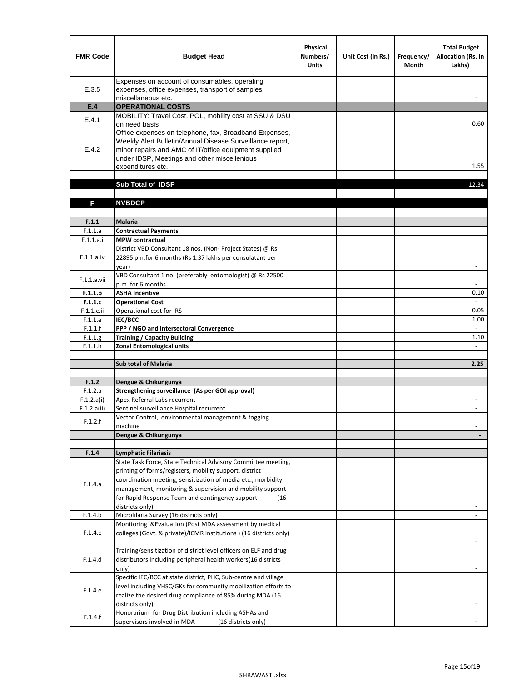| <b>FMR Code</b>    | <b>Budget Head</b>                                                                                                                                                                                                                                | Physical<br>Numbers/<br><b>Units</b> | Unit Cost (in Rs.) | Frequency/<br><b>Month</b> | <b>Total Budget</b><br>Allocation (Rs. In<br>Lakhs) |
|--------------------|---------------------------------------------------------------------------------------------------------------------------------------------------------------------------------------------------------------------------------------------------|--------------------------------------|--------------------|----------------------------|-----------------------------------------------------|
| E.3.5              | Expenses on account of consumables, operating<br>expenses, office expenses, transport of samples,<br>miscellaneous etc.                                                                                                                           |                                      |                    |                            |                                                     |
| E.4                | <b>OPERATIONAL COSTS</b>                                                                                                                                                                                                                          |                                      |                    |                            |                                                     |
| E.4.1              | MOBILITY: Travel Cost, POL, mobility cost at SSU & DSU<br>on need basis                                                                                                                                                                           |                                      |                    |                            | 0.60                                                |
| E.4.2              | Office expenses on telephone, fax, Broadband Expenses,<br>Weekly Alert Bulletin/Annual Disease Surveillance report,<br>minor repairs and AMC of IT/office equipment supplied<br>under IDSP, Meetings and other miscellenious<br>expenditures etc. |                                      |                    |                            | 1.55                                                |
|                    | Sub Total of IDSP                                                                                                                                                                                                                                 |                                      |                    |                            | 12.34                                               |
|                    |                                                                                                                                                                                                                                                   |                                      |                    |                            |                                                     |
| F                  | <b>NVBDCP</b>                                                                                                                                                                                                                                     |                                      |                    |                            |                                                     |
| F.1.1              | Malaria                                                                                                                                                                                                                                           |                                      |                    |                            |                                                     |
| F.1.1.a            | <b>Contractual Payments</b>                                                                                                                                                                                                                       |                                      |                    |                            |                                                     |
| F.1.1.a.i          | <b>MPW</b> contractual                                                                                                                                                                                                                            |                                      |                    |                            |                                                     |
| F.1.1.a.iv         | District VBD Consultant 18 nos. (Non-Project States) @ Rs<br>22895 pm.for 6 months (Rs 1.37 lakhs per consulatant per<br>year)                                                                                                                    |                                      |                    |                            | $\blacksquare$                                      |
| F.1.1.a.vii        | VBD Consultant 1 no. (preferably entomologist) @ Rs 22500<br>p.m. for 6 months                                                                                                                                                                    |                                      |                    |                            |                                                     |
| F.1.1.b            | <b>ASHA Incentive</b>                                                                                                                                                                                                                             |                                      |                    |                            | 0.10                                                |
| F.1.1.c            | <b>Operational Cost</b>                                                                                                                                                                                                                           |                                      |                    |                            | $\blacksquare$                                      |
| F.1.1.c.ii         | Operational cost for IRS                                                                                                                                                                                                                          |                                      |                    |                            | 0.05                                                |
| F.1.1.e            | IEC/BCC                                                                                                                                                                                                                                           |                                      |                    |                            | 1.00                                                |
| F.1.1.f            | PPP / NGO and Intersectoral Convergence                                                                                                                                                                                                           |                                      |                    |                            | $\omega$<br>1.10                                    |
| F.1.1.g<br>F.1.1.h | <b>Training / Capacity Building</b><br><b>Zonal Entomological units</b>                                                                                                                                                                           |                                      |                    |                            |                                                     |
|                    |                                                                                                                                                                                                                                                   |                                      |                    |                            |                                                     |
|                    | <b>Sub total of Malaria</b>                                                                                                                                                                                                                       |                                      |                    |                            | 2.25                                                |
|                    |                                                                                                                                                                                                                                                   |                                      |                    |                            |                                                     |
| F.1.2              | Dengue & Chikungunya                                                                                                                                                                                                                              |                                      |                    |                            |                                                     |
| F.1.2.a            | Strengthening surveillance (As per GOI approval)                                                                                                                                                                                                  |                                      |                    |                            |                                                     |
| F.1.2.a(i)         | Apex Referral Labs recurrent<br>Sentinel surveillance Hospital recurrent                                                                                                                                                                          |                                      |                    |                            | $\overline{\phantom{a}}$<br>$\ddot{\phantom{a}}$    |
| F.1.2.a(ii)        | Vector Control, environmental management & fogging                                                                                                                                                                                                |                                      |                    |                            |                                                     |
| F.1.2.f            | machine                                                                                                                                                                                                                                           |                                      |                    |                            |                                                     |
|                    | Dengue & Chikungunya                                                                                                                                                                                                                              |                                      |                    |                            |                                                     |
|                    |                                                                                                                                                                                                                                                   |                                      |                    |                            |                                                     |
| F.1.4              | <b>Lymphatic Filariasis</b>                                                                                                                                                                                                                       |                                      |                    |                            |                                                     |
|                    | State Task Force, State Technical Advisory Committee meeting,                                                                                                                                                                                     |                                      |                    |                            |                                                     |
|                    | printing of forms/registers, mobility support, district                                                                                                                                                                                           |                                      |                    |                            |                                                     |
| F.1.4.a            | coordination meeting, sensitization of media etc., morbidity<br>management, monitoring & supervision and mobility support                                                                                                                         |                                      |                    |                            |                                                     |
|                    | for Rapid Response Team and contingency support<br>(16)                                                                                                                                                                                           |                                      |                    |                            |                                                     |
|                    | districts only)                                                                                                                                                                                                                                   |                                      |                    |                            |                                                     |
| F.1.4.b            | Microfilaria Survey (16 districts only)                                                                                                                                                                                                           |                                      |                    |                            |                                                     |
| F.1.4.c            | Monitoring & Evaluation (Post MDA assessment by medical<br>colleges (Govt. & private)/ICMR institutions ) (16 districts only)                                                                                                                     |                                      |                    |                            |                                                     |
|                    |                                                                                                                                                                                                                                                   |                                      |                    |                            |                                                     |
| F.1.4.d            | Training/sensitization of district level officers on ELF and drug<br>distributors including peripheral health workers(16 districts                                                                                                                |                                      |                    |                            |                                                     |
|                    | only)<br>Specific IEC/BCC at state, district, PHC, Sub-centre and village                                                                                                                                                                         |                                      |                    |                            |                                                     |
| F.1.4.e            | level including VHSC/GKs for community mobilization efforts to<br>realize the desired drug compliance of 85% during MDA (16                                                                                                                       |                                      |                    |                            |                                                     |
| F.1.4.f            | districts only)<br>Honorarium for Drug Distribution including ASHAs and                                                                                                                                                                           |                                      |                    |                            |                                                     |
|                    | supervisors involved in MDA<br>(16 districts only)                                                                                                                                                                                                |                                      |                    |                            |                                                     |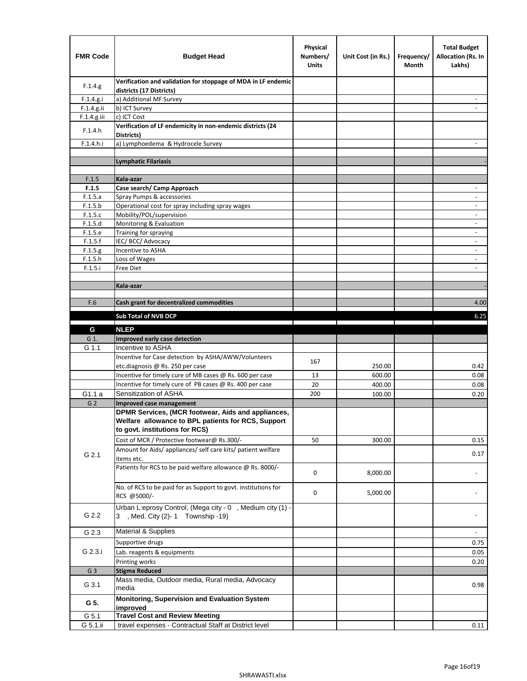| <b>FMR Code</b> | <b>Budget Head</b>                                                                                                                         | Physical<br>Numbers/<br><b>Units</b> | Unit Cost (in Rs.) | Frequency/<br>Month | <b>Total Budget</b><br>Allocation (Rs. In<br>Lakhs) |
|-----------------|--------------------------------------------------------------------------------------------------------------------------------------------|--------------------------------------|--------------------|---------------------|-----------------------------------------------------|
| F.1.4.g.        | Verification and validation for stoppage of MDA in LF endemic<br>districts (17 Districts)                                                  |                                      |                    |                     |                                                     |
| F.1.4.g.i       | a) Additional MF Survey                                                                                                                    |                                      |                    |                     |                                                     |
| F.1.4.g.ii      | b) ICT Survey                                                                                                                              |                                      |                    |                     |                                                     |
| $F.1.4.g.$ iii  | c) ICT Cost                                                                                                                                |                                      |                    |                     |                                                     |
| F.1.4.h         | Verification of LF endemicity in non-endemic districts (24<br>Districts)                                                                   |                                      |                    |                     |                                                     |
| F.1.4.h.i       | a) Lymphoedema & Hydrocele Survey                                                                                                          |                                      |                    |                     |                                                     |
|                 | <b>Lymphatic Filariasis</b>                                                                                                                |                                      |                    |                     |                                                     |
|                 |                                                                                                                                            |                                      |                    |                     |                                                     |
| F.1.5           | Kala-azar                                                                                                                                  |                                      |                    |                     |                                                     |
| F.1.5           | Case search/ Camp Approach                                                                                                                 |                                      |                    |                     | $\overline{\phantom{a}}$                            |
| F.1.5.a         | Spray Pumps & accessories                                                                                                                  |                                      |                    |                     |                                                     |
| F.1.5.b         | Operational cost for spray including spray wages                                                                                           |                                      |                    |                     |                                                     |
| F.1.5.c         | Mobility/POL/supervision                                                                                                                   |                                      |                    |                     | $\overline{\phantom{a}}$                            |
| F.1.5.d         | Monitoring & Evaluation                                                                                                                    |                                      |                    |                     |                                                     |
| F.1.5.e         | Training for spraying                                                                                                                      |                                      |                    |                     | $\overline{\phantom{a}}$                            |
| F.1.5.f         | IEC/BCC/Advocacy                                                                                                                           |                                      |                    |                     |                                                     |
| F.1.5.g         | Incentive to ASHA                                                                                                                          |                                      |                    |                     | $\overline{\phantom{a}}$                            |
| F.1.5.h         | Loss of Wages                                                                                                                              |                                      |                    |                     | $\overline{\phantom{a}}$                            |
| F.1.5.i         | Free Diet                                                                                                                                  |                                      |                    |                     |                                                     |
|                 |                                                                                                                                            |                                      |                    |                     |                                                     |
|                 | Kala-azar                                                                                                                                  |                                      |                    |                     |                                                     |
| F.6             | Cash grant for decentralized commodities                                                                                                   |                                      |                    |                     | 4.00                                                |
|                 |                                                                                                                                            |                                      |                    |                     |                                                     |
|                 | <b>Sub Total of NVB DCP</b>                                                                                                                |                                      |                    |                     | 6.25                                                |
| G               | <b>NLEP</b>                                                                                                                                |                                      |                    |                     |                                                     |
| G 1.            | Improved early case detection                                                                                                              |                                      |                    |                     |                                                     |
| G 1.1           | Incentive to ASHA                                                                                                                          |                                      |                    |                     |                                                     |
|                 | Incentive for Case detection by ASHA/AWW/Volunteers                                                                                        |                                      |                    |                     |                                                     |
|                 | etc.diagnosis @ Rs. 250 per case                                                                                                           | 167                                  | 250.00             |                     | 0.42                                                |
|                 | Incentive for timely cure of MB cases @ Rs. 600 per case                                                                                   | 13                                   | 600.00             |                     | 0.08                                                |
|                 | Incentive for timely cure of PB cases @ Rs. 400 per case                                                                                   | 20                                   | 400.00             |                     | 0.08                                                |
| G1.1 a          | Sensitization of ASHA                                                                                                                      | 200                                  | 100.00             |                     | 0.20                                                |
| G <sub>2</sub>  | Improved case management                                                                                                                   |                                      |                    |                     |                                                     |
|                 | DPMR Services, (MCR footwear, Aids and appliances,<br>Welfare allowance to BPL patients for RCS, Support<br>to govt. institutions for RCS) |                                      |                    |                     |                                                     |
|                 | Cost of MCR / Protective footwear@ Rs.300/-                                                                                                | 50                                   | 300.00             |                     | 0.15                                                |
| G 2.1           | Amount for Aids/ appliances/ self care kits/ patient welfare<br>items etc.                                                                 |                                      |                    |                     | 0.17                                                |
|                 | Patients for RCS to be paid welfare allowance @ Rs. 8000/-                                                                                 | 0                                    | 8,000.00           |                     |                                                     |
|                 | No. of RCS to be paid for as Support to govt. institutions for<br>RCS @5000/-                                                              | 0                                    | 5,000.00           |                     |                                                     |
| G 2.2           | Urban L:eprosy Control, (Mega city - 0, Medium city (1) -<br>3 , Med. City (2)-1 Township -19)                                             |                                      |                    |                     |                                                     |
| G 2.3           | <b>Material &amp; Supplies</b>                                                                                                             |                                      |                    |                     | $\overline{\phantom{a}}$                            |
| G 2.3.i         | Supportive drugs                                                                                                                           |                                      |                    |                     | 0.75                                                |
|                 | Lab. reagents & equipments                                                                                                                 |                                      |                    |                     | 0.05                                                |
|                 | Printing works                                                                                                                             |                                      |                    |                     | 0.20                                                |
| G <sub>3</sub>  | <b>Stigma Reduced</b>                                                                                                                      |                                      |                    |                     |                                                     |
|                 | Mass media, Outdoor media, Rural media, Advocacy                                                                                           |                                      |                    |                     |                                                     |
| G 3.1           | media<br>Monitoring, Supervision and Evaluation System                                                                                     |                                      |                    |                     | 0.98                                                |
| G 5.            | improved                                                                                                                                   |                                      |                    |                     |                                                     |
| G 5.1           | <b>Travel Cost and Review Meeting</b>                                                                                                      |                                      |                    |                     |                                                     |
| G 5.1.ii        | travel expenses - Contractual Staff at District level                                                                                      |                                      |                    |                     | 0.11                                                |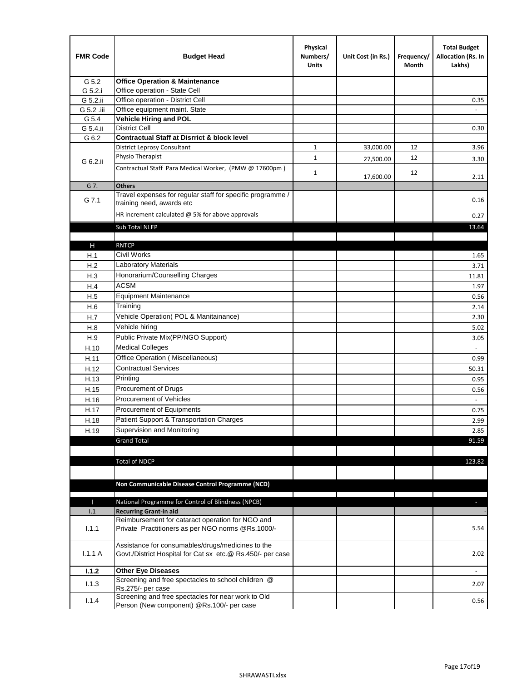| <b>FMR Code</b> | <b>Budget Head</b>                                                                                              | Physical<br>Numbers/<br><b>Units</b> | Unit Cost (in Rs.) | Frequency/<br>Month | <b>Total Budget</b><br>Allocation (Rs. In<br>Lakhs) |
|-----------------|-----------------------------------------------------------------------------------------------------------------|--------------------------------------|--------------------|---------------------|-----------------------------------------------------|
| G 5.2           | <b>Office Operation &amp; Maintenance</b>                                                                       |                                      |                    |                     |                                                     |
| G 5.2.i         | Office operation - State Cell                                                                                   |                                      |                    |                     |                                                     |
| G 5.2.ii        | Office operation - District Cell                                                                                |                                      |                    |                     | 0.35                                                |
| G 5.2 .iii      | Office equipment maint. State                                                                                   |                                      |                    |                     |                                                     |
| G 5.4           | Vehicle Hiring and POL                                                                                          |                                      |                    |                     |                                                     |
| G 5.4.ii        | <b>District Cell</b>                                                                                            |                                      |                    |                     | 0.30                                                |
| G 6.2           | <b>Contractual Staff at Disrrict &amp; block level</b>                                                          |                                      |                    |                     |                                                     |
|                 | <b>District Leprosy Consultant</b>                                                                              | 1                                    | 33,000.00          | 12                  | 3.96                                                |
| G 6.2.ii        | Physio Therapist                                                                                                | $\mathbf{1}$                         | 27,500.00          | 12                  | 3.30                                                |
|                 | Contractual Staff Para Medical Worker, (PMW @ 17600pm)                                                          | $\mathbf{1}$                         | 17,600.00          | 12                  | 2.11                                                |
| G 7.            | <b>Others</b>                                                                                                   |                                      |                    |                     |                                                     |
| G 7.1           | Travel expenses for regular staff for specific programme /<br>training need, awards etc                         |                                      |                    |                     | 0.16                                                |
|                 | HR increment calculated $\omega$ 5% for above approvals                                                         |                                      |                    |                     | 0.27                                                |
|                 | Sub Total NLEP                                                                                                  |                                      |                    |                     | 13.64                                               |
|                 |                                                                                                                 |                                      |                    |                     |                                                     |
| Н               | <b>RNTCP</b>                                                                                                    |                                      |                    |                     |                                                     |
| H.1             | Civil Works                                                                                                     |                                      |                    |                     | 1.65                                                |
| H.2             | Laboratory Materials                                                                                            |                                      |                    |                     | 3.71                                                |
| H.3             | Honorarium/Counselling Charges                                                                                  |                                      |                    |                     | 11.81                                               |
| H.4             | <b>ACSM</b>                                                                                                     |                                      |                    |                     | 1.97                                                |
| H.5             | <b>Equipment Maintenance</b>                                                                                    |                                      |                    |                     | 0.56                                                |
| H.6             | Training                                                                                                        |                                      |                    |                     | 2.14                                                |
| H.7             | Vehicle Operation(POL & Manitainance)                                                                           |                                      |                    |                     | 2.30                                                |
| H.8             | Vehicle hiring                                                                                                  |                                      |                    |                     | 5.02                                                |
| H.9             | Public Private Mix(PP/NGO Support)                                                                              |                                      |                    |                     | 3.05                                                |
| H.10            | <b>Medical Colleges</b>                                                                                         |                                      |                    |                     | $\omega$                                            |
| H.11            | Office Operation (Miscellaneous)                                                                                |                                      |                    |                     | 0.99                                                |
| H.12            | <b>Contractual Services</b>                                                                                     |                                      |                    |                     | 50.31                                               |
| H.13            | Printing                                                                                                        |                                      |                    |                     | 0.95                                                |
| H.15            | Procurement of Drugs                                                                                            |                                      |                    |                     | 0.56                                                |
| H.16            | Procurement of Vehicles                                                                                         |                                      |                    |                     | $\sim$                                              |
| H.17            | Procurement of Equipments                                                                                       |                                      |                    |                     | 0.75                                                |
| H.18            | Patient Support & Transportation Charges                                                                        |                                      |                    |                     | 2.99                                                |
| H.19            | Supervision and Monitoring                                                                                      |                                      |                    |                     | 2.85                                                |
|                 | <b>Grand Total</b>                                                                                              |                                      |                    |                     | 91.59                                               |
|                 |                                                                                                                 |                                      |                    |                     |                                                     |
|                 | <b>Total of NDCP</b>                                                                                            |                                      |                    |                     | 123.82                                              |
|                 | Non Communicable Disease Control Programme (NCD)                                                                |                                      |                    |                     |                                                     |
| Т               | National Programme for Control of Blindness (NPCB)                                                              |                                      |                    |                     | $\sim$                                              |
| 1.1             | <b>Recurring Grant-in aid</b>                                                                                   |                                      |                    |                     |                                                     |
|                 | Reimbursement for cataract operation for NGO and                                                                |                                      |                    |                     |                                                     |
| 1.1.1           | Private Practitioners as per NGO norms @Rs.1000/-                                                               |                                      |                    |                     | 5.54                                                |
| 1.1.1A          | Assistance for consumables/drugs/medicines to the<br>Govt./District Hospital for Cat sx etc.@ Rs.450/- per case |                                      |                    |                     | 2.02                                                |
| 1.1.2           | <b>Other Eye Diseases</b>                                                                                       |                                      |                    |                     |                                                     |
| 1.1.3           | Screening and free spectacles to school children @                                                              |                                      |                    |                     | 2.07                                                |
|                 | Rs.275/- per case                                                                                               |                                      |                    |                     |                                                     |
| 1.1.4           | Screening and free spectacles for near work to Old<br>Person (New component) @Rs.100/- per case                 |                                      |                    |                     | 0.56                                                |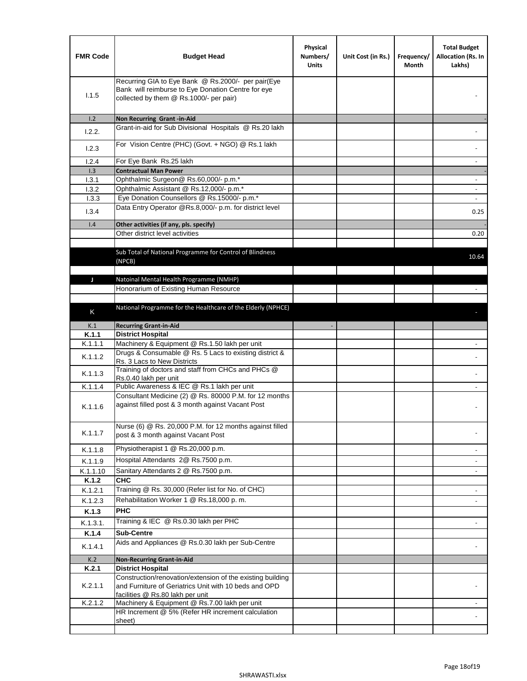| <b>FMR Code</b> | <b>Budget Head</b>                                                                                                                                      | Physical<br>Numbers/<br><b>Units</b> | Unit Cost (in Rs.) | Frequency/<br>Month | <b>Total Budget</b><br>Allocation (Rs. In<br>Lakhs) |
|-----------------|---------------------------------------------------------------------------------------------------------------------------------------------------------|--------------------------------------|--------------------|---------------------|-----------------------------------------------------|
| 1.1.5           | Recurring GIA to Eye Bank @ Rs.2000/- per pair(Eye<br>Bank will reimburse to Eye Donation Centre for eye<br>collected by them @ Rs.1000/- per pair)     |                                      |                    |                     |                                                     |
| 1.2             | Non Recurring Grant -in-Aid                                                                                                                             |                                      |                    |                     |                                                     |
| 1.2.2.          | Grant-in-aid for Sub Divisional Hospitals @ Rs.20 lakh                                                                                                  |                                      |                    |                     |                                                     |
| 1.2.3           | For Vision Centre (PHC) (Govt. + NGO) @ Rs.1 lakh                                                                                                       |                                      |                    |                     |                                                     |
| 1.2.4           | For Eye Bank Rs.25 lakh                                                                                                                                 |                                      |                    |                     | ÷.                                                  |
| 1.3             | <b>Contractual Man Power</b>                                                                                                                            |                                      |                    |                     |                                                     |
| 1.3.1           | Ophthalmic Surgeon@ Rs.60,000/- p.m.*                                                                                                                   |                                      |                    |                     | $\overline{\phantom{a}}$                            |
| 1.3.2           | Ophthalmic Assistant @ Rs.12,000/- p.m.*                                                                                                                |                                      |                    |                     |                                                     |
| 1.3.3           | Eye Donation Counsellors @ Rs.15000/- p.m.*                                                                                                             |                                      |                    |                     | $\overline{\phantom{a}}$                            |
| 1.3.4           | Data Entry Operator @Rs.8,000/- p.m. for district level                                                                                                 |                                      |                    |                     | 0.25                                                |
| 1.4             | Other activities (if any, pls. specify)                                                                                                                 |                                      |                    |                     |                                                     |
|                 | Other district level activities                                                                                                                         |                                      |                    |                     | 0.20                                                |
|                 | Sub Total of National Programme for Control of Blindness<br>(NPCB)                                                                                      |                                      |                    |                     | 10.64                                               |
|                 |                                                                                                                                                         |                                      |                    |                     |                                                     |
| J               | Natoinal Mental Health Programme (NMHP)<br>Honorarium of Existing Human Resource                                                                        |                                      |                    |                     |                                                     |
|                 |                                                                                                                                                         |                                      |                    |                     |                                                     |
|                 | National Programme for the Healthcare of the Elderly (NPHCE)                                                                                            |                                      |                    |                     |                                                     |
| K               |                                                                                                                                                         |                                      |                    |                     |                                                     |
| K.1             | <b>Recurring Grant-in-Aid</b>                                                                                                                           |                                      |                    |                     |                                                     |
| K.1.1           | <b>District Hospital</b>                                                                                                                                |                                      |                    |                     |                                                     |
| K.1.1.1         | Machinery & Equipment @ Rs.1.50 lakh per unit                                                                                                           |                                      |                    |                     |                                                     |
| K.1.1.2         | Drugs & Consumable @ Rs. 5 Lacs to existing district &<br>Rs. 3 Lacs to New Districts                                                                   |                                      |                    |                     |                                                     |
| K.1.1.3         | Training of doctors and staff from CHCs and PHCs @<br>Rs.0.40 lakh per unit                                                                             |                                      |                    |                     |                                                     |
| K.1.1.4         | Public Awareness & IEC @ Rs.1 lakh per unit                                                                                                             |                                      |                    |                     |                                                     |
| K.1.1.6         | Consultant Medicine (2) @ Rs. 80000 P.M. for 12 months<br>against filled post & 3 month against Vacant Post                                             |                                      |                    |                     |                                                     |
| K.1.1.7         | Nurse (6) @ Rs. 20,000 P.M. for 12 months against filled<br>post & 3 month against Vacant Post                                                          |                                      |                    |                     |                                                     |
| K.1.1.8         | Physiotherapist 1 @ Rs.20,000 p.m.                                                                                                                      |                                      |                    |                     |                                                     |
| K.1.1.9         | Hospital Attendants 2@ Rs.7500 p.m.                                                                                                                     |                                      |                    |                     |                                                     |
| K.1.1.10        | Sanitary Attendants 2 @ Rs.7500 p.m.                                                                                                                    |                                      |                    |                     | $\overline{\phantom{a}}$                            |
| K.1.2           | <b>CHC</b>                                                                                                                                              |                                      |                    |                     |                                                     |
| K.1.2.1         | Training @ Rs. 30,000 (Refer list for No. of CHC)                                                                                                       |                                      |                    |                     |                                                     |
| K.1.2.3         | Rehabilitation Worker 1 @ Rs.18,000 p. m.                                                                                                               |                                      |                    |                     |                                                     |
| K.1.3           | <b>PHC</b>                                                                                                                                              |                                      |                    |                     |                                                     |
| K.1.3.1.        | Training & IEC @ Rs.0.30 lakh per PHC                                                                                                                   |                                      |                    |                     |                                                     |
| K.1.4           | <b>Sub-Centre</b>                                                                                                                                       |                                      |                    |                     |                                                     |
|                 | Aids and Appliances @ Rs.0.30 lakh per Sub-Centre                                                                                                       |                                      |                    |                     |                                                     |
| K.1.4.1         |                                                                                                                                                         |                                      |                    |                     |                                                     |
| K.2             | <b>Non-Recurring Grant-in-Aid</b>                                                                                                                       |                                      |                    |                     |                                                     |
| K.2.1           | <b>District Hospital</b>                                                                                                                                |                                      |                    |                     |                                                     |
| K.2.1.1         | Construction/renovation/extension of the existing building<br>and Furniture of Geriatrics Unit with 10 beds and OPD<br>facilities @ Rs.80 lakh per unit |                                      |                    |                     |                                                     |
| K.2.1.2         | Machinery & Equipment @ Rs.7.00 lakh per unit                                                                                                           |                                      |                    |                     |                                                     |
|                 | HR Increment @ 5% (Refer HR increment calculation                                                                                                       |                                      |                    |                     |                                                     |
|                 | sheet)                                                                                                                                                  |                                      |                    |                     |                                                     |
|                 |                                                                                                                                                         |                                      |                    |                     |                                                     |